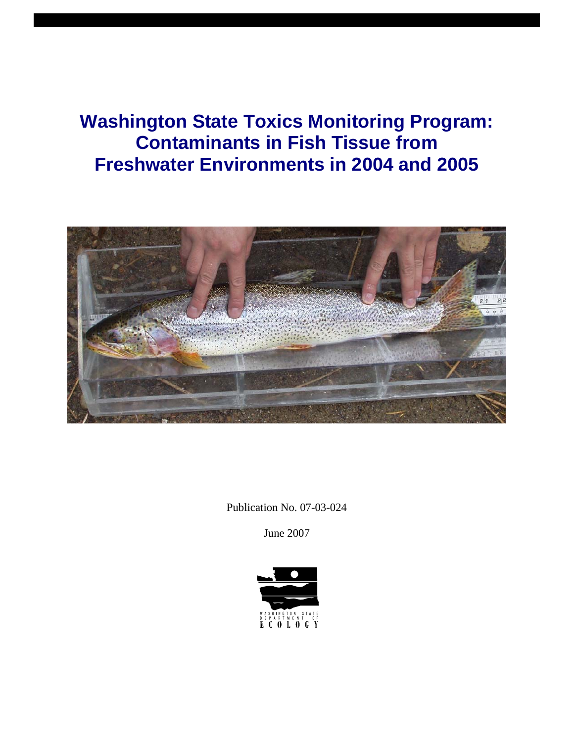# **Washington State Toxics Monitoring Program: Contaminants in Fish Tissue from Freshwater Environments in 2004 and 2005**



Publication No. 07-03-024

June 2007

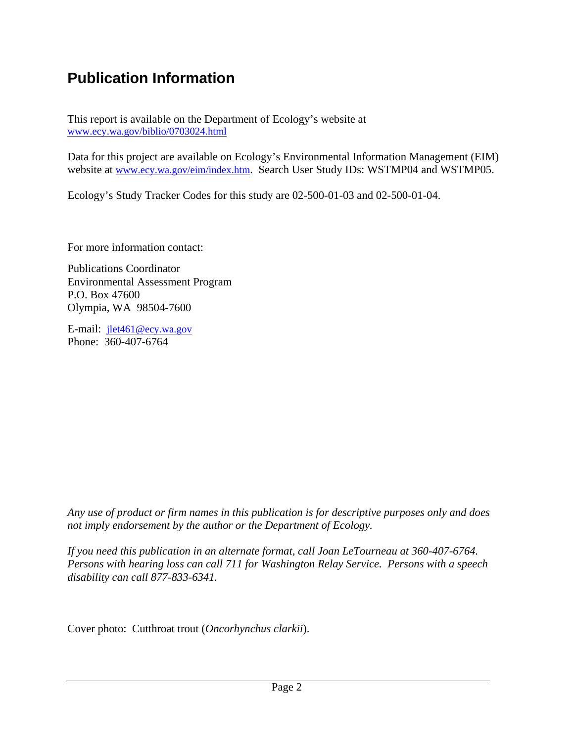# **Publication Information**

This report is available on the Department of Ecology's website at [www.ecy.wa.gov/biblio/0703024.html](http://www.ecy.wa.gov/biblio/0703024.html)

Data for this project are available on Ecology's Environmental Information Management (EIM) website at [www.ecy.wa.gov/eim/index.htm.](http://www.ecy.wa.gov/eim/index.htm) Search User Study IDs: WSTMP04 and WSTMP05.

Ecology's Study Tracker Codes for this study are 02-500-01-03 and 02-500-01-04.

For more information contact:

Publications Coordinator Environmental Assessment Program P.O. Box 47600 Olympia, WA 98504-7600

E-mail: [jlet461@ecy.wa.gov](mailto:jlet461@ecy.wa.gov) Phone: 360-407-6764

*Any use of product or firm names in this publication is for descriptive purposes only and does not imply endorsement by the author or the Department of Ecology.* 

*If you need this publication in an alternate format, call Joan LeTourneau at 360-407-6764. Persons with hearing loss can call 711 for Washington Relay Service. Persons with a speech disability can call 877-833-6341.*

Cover photo: Cutthroat trout (*Oncorhynchus clarkii*).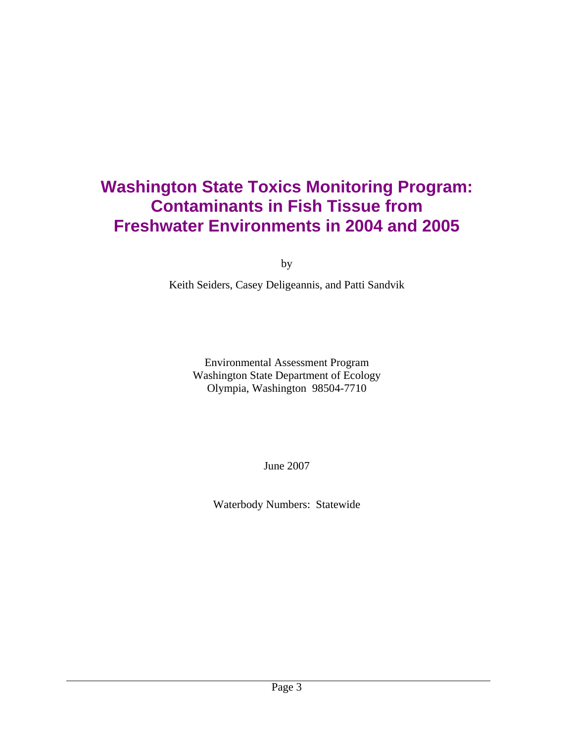# **Washington State Toxics Monitoring Program: Contaminants in Fish Tissue from Freshwater Environments in 2004 and 2005**

by

Keith Seiders, Casey Deligeannis, and Patti Sandvik

Environmental Assessment Program Washington State Department of Ecology Olympia, Washington 98504-7710

June 2007

Waterbody Numbers: Statewide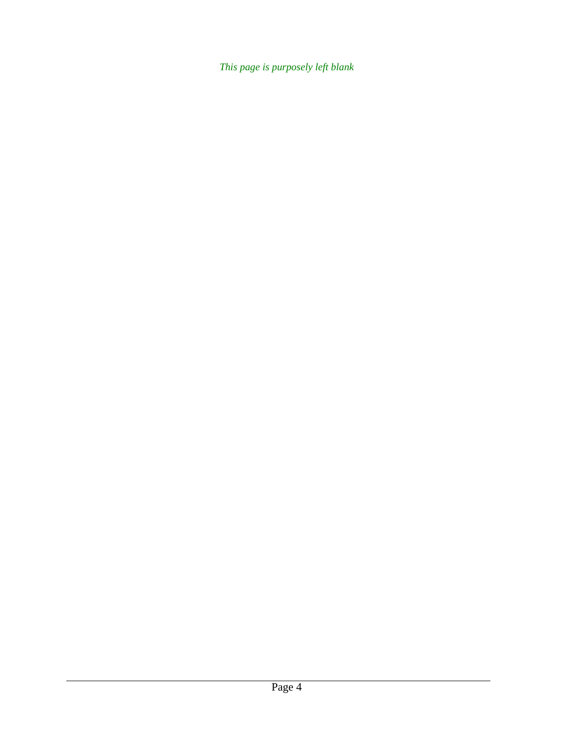*This page is purposely left blank*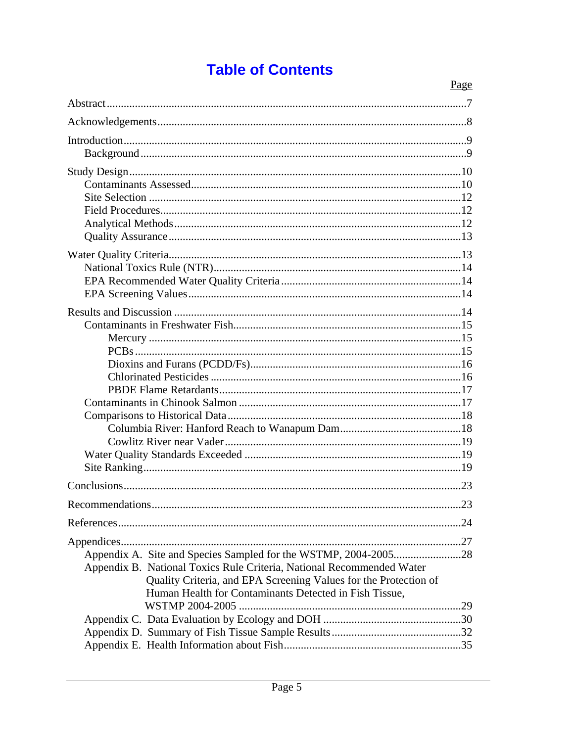# **Table of Contents**

| Appendix B. National Toxics Rule Criteria, National Recommended Water<br>Quality Criteria, and EPA Screening Values for the Protection of<br>Human Health for Contaminants Detected in Fish Tissue, |  |
|-----------------------------------------------------------------------------------------------------------------------------------------------------------------------------------------------------|--|
|                                                                                                                                                                                                     |  |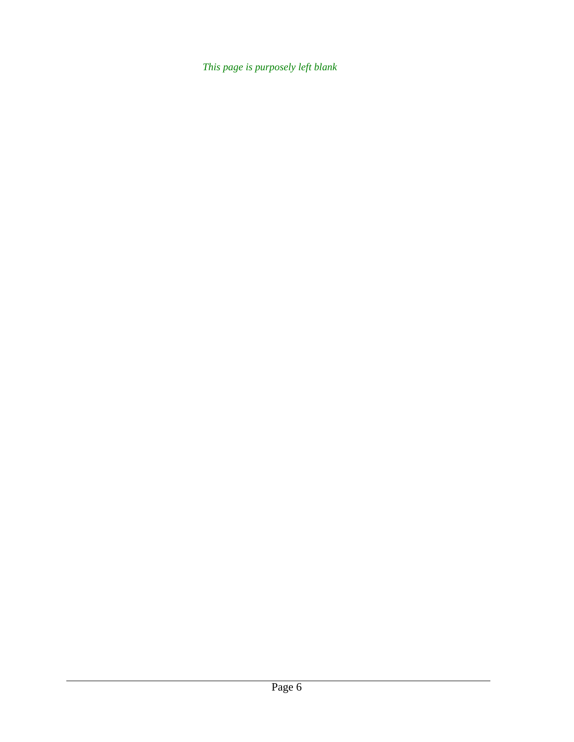*This page is purposely left blank*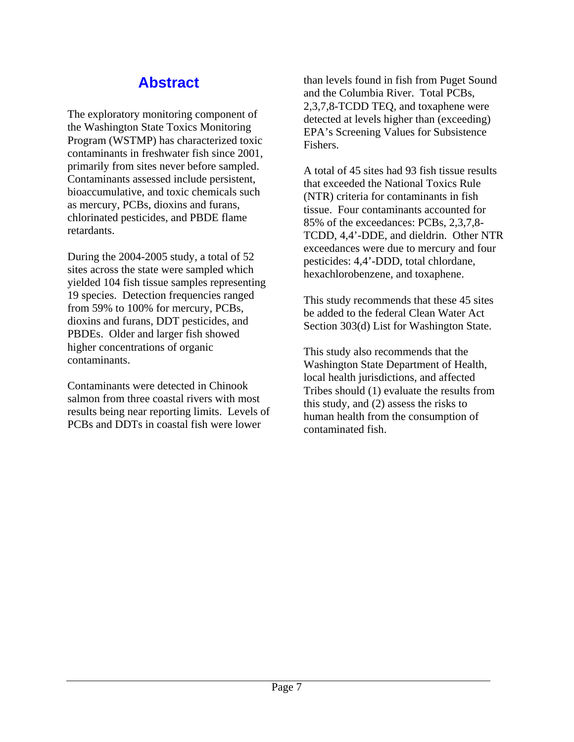# **Abstract**

<span id="page-6-0"></span>The exploratory monitoring component of the Washington State Toxics Monitoring Program (WSTMP) has characterized toxic contaminants in freshwater fish since 2001, primarily from sites never before sampled. Contaminants assessed include persistent, bioaccumulative, and toxic chemicals such as mercury, PCBs, dioxins and furans, chlorinated pesticides, and PBDE flame retardants.

During the 2004-2005 study, a total of 52 sites across the state were sampled which yielded 104 fish tissue samples representing 19 species. Detection frequencies ranged from 59% to 100% for mercury, PCBs, dioxins and furans, DDT pesticides, and PBDEs. Older and larger fish showed higher concentrations of organic contaminants.

Contaminants were detected in Chinook salmon from three coastal rivers with most results being near reporting limits. Levels of PCBs and DDTs in coastal fish were lower

than levels found in fish from Puget Sound and the Columbia River. Total PCBs, 2,3,7,8-TCDD TEQ, and toxaphene were detected at levels higher than (exceeding) EPA's Screening Values for Subsistence Fishers.

A total of 45 sites had 93 fish tissue results that exceeded the National Toxics Rule (NTR) criteria for contaminants in fish tissue. Four contaminants accounted for 85% of the exceedances: PCBs, 2,3,7,8- TCDD, 4,4'-DDE, and dieldrin. Other NTR exceedances were due to mercury and four pesticides: 4,4'-DDD, total chlordane, hexachlorobenzene, and toxaphene.

This study recommends that these 45 sites be added to the federal Clean Water Act Section 303(d) List for Washington State.

This study also recommends that the Washington State Department of Health, local health jurisdictions, and affected Tribes should (1) evaluate the results from this study, and (2) assess the risks to human health from the consumption of contaminated fish.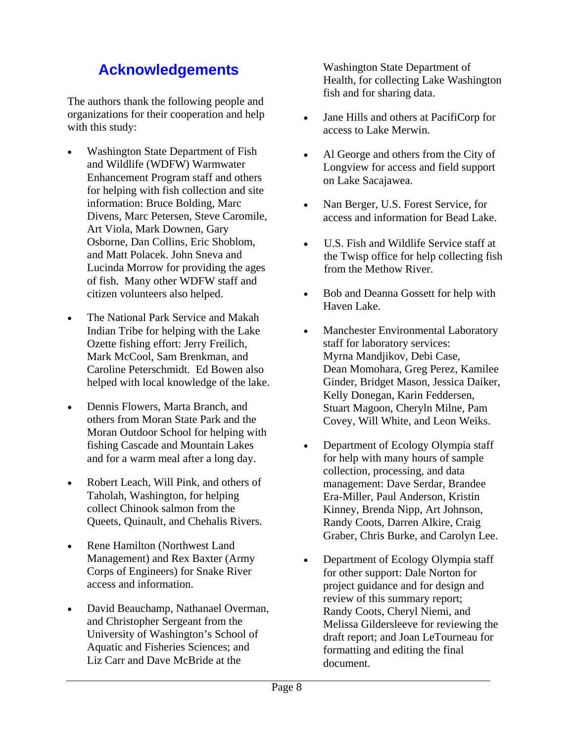# <span id="page-7-0"></span>**Acknowledgements**

The authors thank the following people and organizations for their cooperation and help with this study:

- Washington State Department of Fish and Wildlife (WDFW) Warmwater Enhancement Program staff and others for helping with fish collection and site information: Bruce Bolding, Marc Divens, Marc Petersen, Steve Caromile, Art Viola, Mark Downen, Gary Osborne, Dan Collins, Eric Shoblom, and Matt Polacek. John Sneva and Lucinda Morrow for providing the ages of fish. Many other WDFW staff and citizen volunteers also helped.
- The National Park Service and Makah Indian Tribe for helping with the Lake Ozette fishing effort: Jerry Freilich, Mark McCool, Sam Brenkman, and Caroline Peterschmidt. Ed Bowen also helped with local knowledge of the lake.
- Dennis Flowers, Marta Branch, and others from Moran State Park and the Moran Outdoor School for helping with fishing Cascade and Mountain Lakes and for a warm meal after a long day.
- Robert Leach, Will Pink, and others of Taholah, Washington, for helping collect Chinook salmon from the Queets, Quinault, and Chehalis Rivers.
- Rene Hamilton (Northwest Land Management) and Rex Baxter (Army Corps of Engineers) for Snake River access and information.
- David Beauchamp, Nathanael Overman, and Christopher Sergeant from the University of Washington's School of Aquatic and Fisheries Sciences; and Liz Carr and Dave McBride at the

Washington State Department of Health, for collecting Lake Washington fish and for sharing data.

- Jane Hills and others at PacifiCorp for access to Lake Merwin.
- Al George and others from the City of Longview for access and field support on Lake Sacajawea.
- Nan Berger, U.S. Forest Service, for access and information for Bead Lake.
- U.S. Fish and Wildlife Service staff at the Twisp office for help collecting fish from the Methow River.
- Bob and Deanna Gossett for help with Haven Lake.
- Manchester Environmental Laboratory staff for laboratory services: Myrna Mandjikov, Debi Case, Dean Momohara, Greg Perez, Kamilee Ginder, Bridget Mason, Jessica Daiker, Kelly Donegan, Karin Feddersen, Stuart Magoon, Cheryln Milne, Pam Covey, Will White, and Leon Weiks.
- Department of Ecology Olympia staff for help with many hours of sample collection, processing, and data management: Dave Serdar, Brandee Era-Miller, Paul Anderson, Kristin Kinney, Brenda Nipp, Art Johnson, Randy Coots, Darren Alkire, Craig Graber, Chris Burke, and Carolyn Lee.
- Department of Ecology Olympia staff for other support: Dale Norton for project guidance and for design and review of this summary report; Randy Coots, Cheryl Niemi, and Melissa Gildersleeve for reviewing the draft report; and Joan LeTourneau for formatting and editing the final document.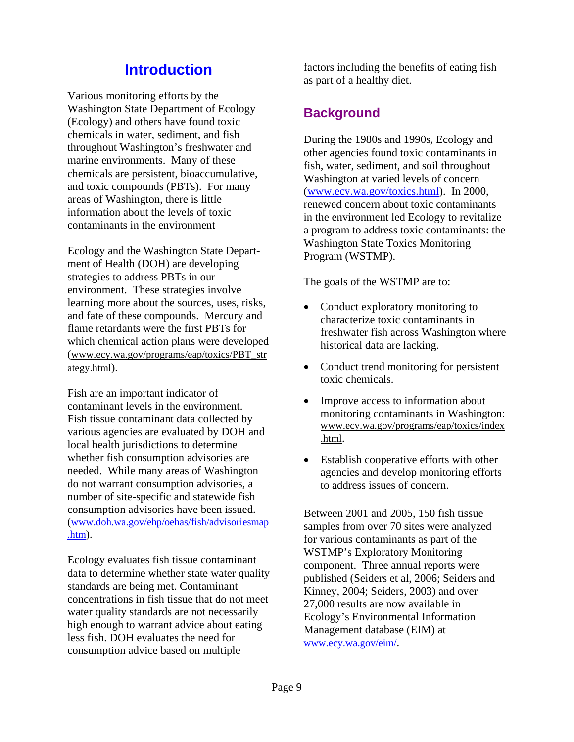# **Introduction**

<span id="page-8-0"></span>Various monitoring efforts by the Washington State Department of Ecology (Ecology) and others have found toxic chemicals in water, sediment, and fish throughout Washington's freshwater and marine environments. Many of these chemicals are persistent, bioaccumulative, and toxic compounds (PBTs). For many areas of Washington, there is little information about the levels of toxic contaminants in the environment

Ecology and the Washington State Department of Health (DOH) are developing strategies to address PBTs in our environment. These strategies involve learning more about the sources, uses, risks, and fate of these compounds. Mercury and flame retardants were the first PBTs for which chemical action plans were developed ([www.ecy.wa.gov/programs/eap/toxics/PBT\\_str](http://www.ecy.wa.gov/programs/eap/toxics/PBT_strategy.html) [ategy.html\)](http://www.ecy.wa.gov/programs/eap/toxics/PBT_strategy.html).

Fish are an important indicator of contaminant levels in the environment. Fish tissue contaminant data collected by various agencies are evaluated by DOH and local health jurisdictions to determine whether fish consumption advisories are needed. While many areas of Washington do not warrant consumption advisories, a number of site-specific and statewide fish consumption advisories have been issued. ([www.doh.wa.gov/ehp/oehas/fish/advisoriesmap](http://www.doh.wa.gov/ehp/oehas/fish/advisoriesmap.htm) [.htm\)](http://www.doh.wa.gov/ehp/oehas/fish/advisoriesmap.htm).

Ecology evaluates fish tissue contaminant data to determine whether state water quality standards are being met. Contaminant concentrations in fish tissue that do not meet water quality standards are not necessarily high enough to warrant advice about eating less fish. DOH evaluates the need for consumption advice based on multiple

factors including the benefits of eating fish as part of a healthy diet.

## **Background**

During the 1980s and 1990s, Ecology and other agencies found toxic contaminants in fish, water, sediment, and soil throughout Washington at varied levels of concern ([www.ecy.wa.gov/toxics.html\)](http://www.ecy.wa.gov/toxics.html). In 2000, renewed concern about toxic contaminants in the environment led Ecology to revitalize a program to address toxic contaminants: the Washington State Toxics Monitoring Program (WSTMP).

The goals of the WSTMP are to:

- Conduct exploratory monitoring to characterize toxic contaminants in freshwater fish across Washington where historical data are lacking.
- Conduct trend monitoring for persistent toxic chemicals.
- Improve access to information about monitoring contaminants in Washington: [www.ecy.wa.gov/programs/eap/toxics/index](http://www.ecy.wa.gov/programs/eap/toxics/index.html) [.html.](http://www.ecy.wa.gov/programs/eap/toxics/index.html)
- Establish cooperative efforts with other agencies and develop monitoring efforts to address issues of concern.

Between 2001 and 2005, 150 fish tissue samples from over 70 sites were analyzed for various contaminants as part of the WSTMP's Exploratory Monitoring component. Three annual reports were published (Seiders et al, 2006; Seiders and Kinney, 2004; Seiders, 2003) and over 27,000 results are now available in Ecology's Environmental Information Management database (EIM) at [www.ecy.wa.gov/eim/](http://www.ecy.wa.gov/eim/).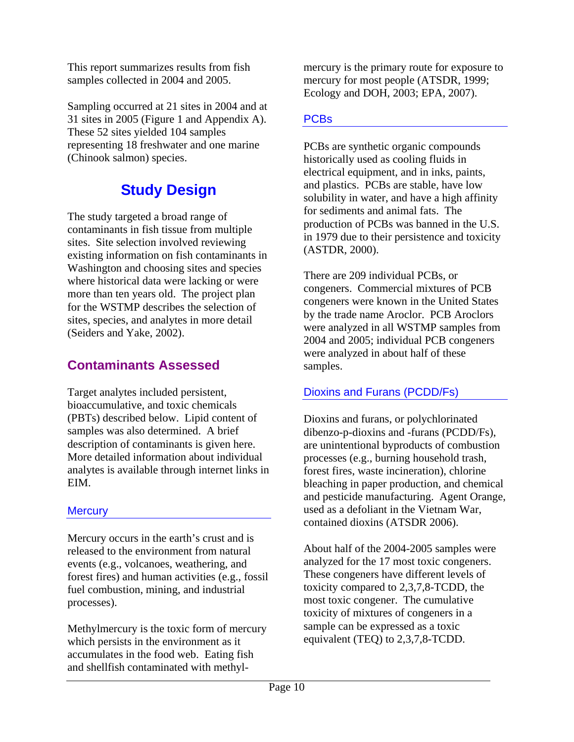<span id="page-9-0"></span>This report summarizes results from fish samples collected in 2004 and 2005.

Sampling occurred at 21 sites in 2004 and at 31 sites in 2005 (Figure 1 and Appendix A). These 52 sites yielded 104 samples representing 18 freshwater and one marine (Chinook salmon) species.

# **Study Design**

The study targeted a broad range of contaminants in fish tissue from multiple sites. Site selection involved reviewing existing information on fish contaminants in Washington and choosing sites and species where historical data were lacking or were more than ten years old. The project plan for the WSTMP describes the selection of sites, species, and analytes in more detail (Seiders and Yake, 2002).

## **Contaminants Assessed**

Target analytes included persistent, bioaccumulative, and toxic chemicals (PBTs) described below. Lipid content of samples was also determined. A brief description of contaminants is given here. More detailed information about individual analytes is available through internet links in EIM.

### **Mercury**

Mercury occurs in the earth's crust and is released to the environment from natural events (e.g., volcanoes, weathering, and forest fires) and human activities (e.g., fossil fuel combustion, mining, and industrial processes).

Methylmercury is the toxic form of mercury which persists in the environment as it accumulates in the food web. Eating fish and shellfish contaminated with methyl-

mercury is the primary route for exposure to mercury for most people (ATSDR, 1999; Ecology and DOH, 2003; EPA, 2007).

### PCBs

PCBs are synthetic organic compounds historically used as cooling fluids in electrical equipment, and in inks, paints, and plastics. PCBs are stable, have low solubility in water, and have a high affinity for sediments and animal fats. The production of PCBs was banned in the U.S. in 1979 due to their persistence and toxicity (ASTDR, 2000).

There are 209 individual PCBs, or congeners. Commercial mixtures of PCB congeners were known in the United States by the trade name Aroclor. PCB Aroclors were analyzed in all WSTMP samples from 2004 and 2005; individual PCB congeners were analyzed in about half of these samples.

### Dioxins and Furans (PCDD/Fs)

Dioxins and furans, or polychlorinated dibenzo-p-dioxins and -furans (PCDD/Fs), are unintentional byproducts of combustion processes (e.g., burning household trash, forest fires, waste incineration), chlorine bleaching in paper production, and chemical and pesticide manufacturing. Agent Orange, used as a defoliant in the Vietnam War, contained dioxins (ATSDR 2006).

About half of the 2004-2005 samples were analyzed for the 17 most toxic congeners. These congeners have different levels of toxicity compared to 2,3,7,8-TCDD, the most toxic congener. The cumulative toxicity of mixtures of congeners in a sample can be expressed as a toxic equivalent (TEQ) to 2,3,7,8-TCDD.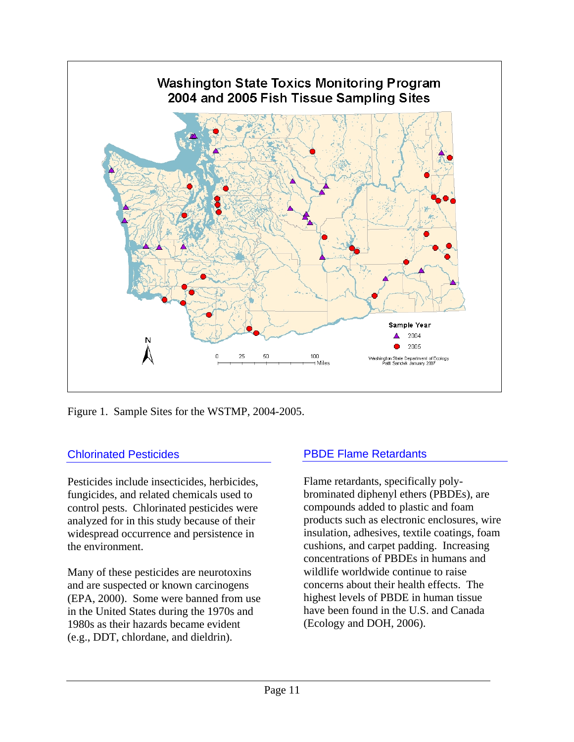

Figure 1. Sample Sites for the WSTMP, 2004-2005.

### Chlorinated Pesticides

Pesticides include insecticides, herbicides, fungicides, and related chemicals used to control pests. Chlorinated pesticides were analyzed for in this study because of their widespread occurrence and persistence in the environment.

Many of these pesticides are neurotoxins and are suspected or known carcinogens (EPA, 2000). Some were banned from use in the United States during the 1970s and 1980s as their hazards became evident (e.g., DDT, chlordane, and dieldrin).

### PBDE Flame Retardants

Flame retardants, specifically polybrominated diphenyl ethers (PBDEs), are compounds added to plastic and foam products such as electronic enclosures, wire insulation, adhesives, textile coatings, foam cushions, and carpet padding. Increasing concentrations of PBDEs in humans and wildlife worldwide continue to raise concerns about their health effects. The highest levels of PBDE in human tissue have been found in the U.S. and Canada (Ecology and DOH, 2006).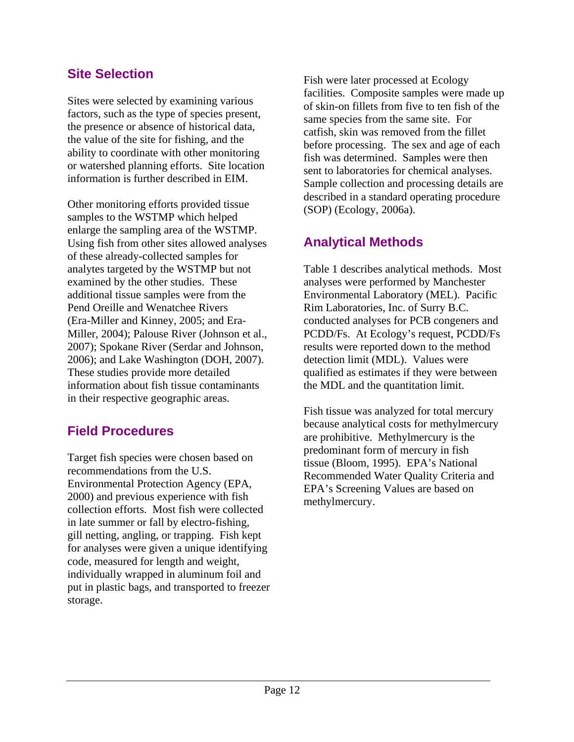## <span id="page-11-0"></span>**Site Selection**

Sites were selected by examining various factors, such as the type of species present, the presence or absence of historical data, the value of the site for fishing, and the ability to coordinate with other monitoring or watershed planning efforts. Site location information is further described in EIM.

Other monitoring efforts provided tissue samples to the WSTMP which helped enlarge the sampling area of the WSTMP. Using fish from other sites allowed analyses of these already-collected samples for analytes targeted by the WSTMP but not examined by the other studies. These additional tissue samples were from the Pend Oreille and Wenatchee Rivers (Era-Miller and Kinney, 2005; and Era-Miller, 2004); Palouse River (Johnson et al., 2007); Spokane River (Serdar and Johnson, 2006); and Lake Washington (DOH, 2007). These studies provide more detailed information about fish tissue contaminants in their respective geographic areas.

## **Field Procedures**

Target fish species were chosen based on recommendations from the U.S. Environmental Protection Agency (EPA, 2000) and previous experience with fish collection efforts. Most fish were collected in late summer or fall by electro-fishing, gill netting, angling, or trapping. Fish kept for analyses were given a unique identifying code, measured for length and weight, individually wrapped in aluminum foil and put in plastic bags, and transported to freezer storage.

Fish were later processed at Ecology facilities. Composite samples were made up of skin-on fillets from five to ten fish of the same species from the same site. For catfish, skin was removed from the fillet before processing. The sex and age of each fish was determined. Samples were then sent to laboratories for chemical analyses. Sample collection and processing details are described in a standard operating procedure (SOP) (Ecology, 2006a).

## **Analytical Methods**

Table 1 describes analytical methods. Most analyses were performed by Manchester Environmental Laboratory (MEL). Pacific Rim Laboratories, Inc. of Surry B.C. conducted analyses for PCB congeners and PCDD/Fs. At Ecology's request, PCDD/Fs results were reported down to the method detection limit (MDL). Values were qualified as estimates if they were between the MDL and the quantitation limit.

Fish tissue was analyzed for total mercury because analytical costs for methylmercury are prohibitive. Methylmercury is the predominant form of mercury in fish tissue (Bloom, 1995). EPA's National Recommended Water Quality Criteria and EPA's Screening Values are based on methylmercury.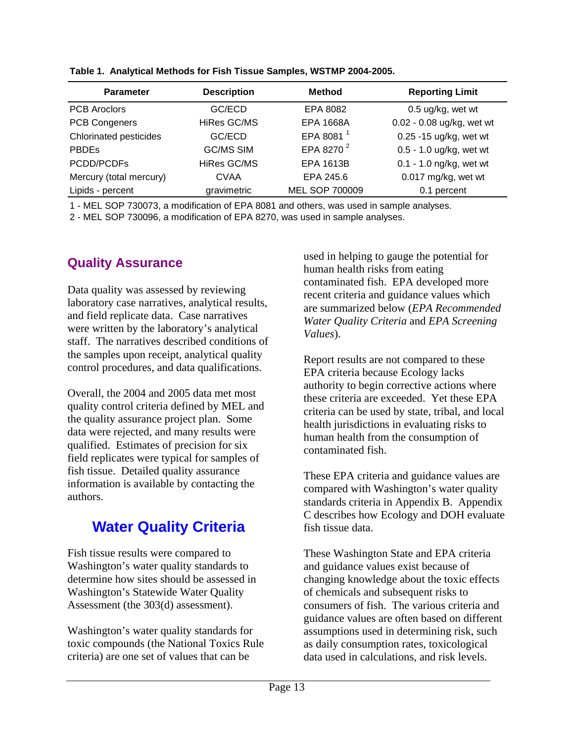| <b>Parameter</b>              | <b>Description</b> | <b>Method</b>         | <b>Reporting Limit</b>    |
|-------------------------------|--------------------|-----------------------|---------------------------|
| <b>PCB Aroclors</b>           | GC/ECD             | EPA 8082              | 0.5 ug/kg, wet wt         |
| <b>PCB Congeners</b>          | <b>HiRes GC/MS</b> | <b>EPA 1668A</b>      | 0.02 - 0.08 ug/kg, wet wt |
| <b>Chlorinated pesticides</b> | GC/ECD             | EPA 8081 <sup>1</sup> | 0.25 -15 ug/kg, wet wt    |
| <b>PBDEs</b>                  | <b>GC/MS SIM</b>   | EPA 8270 <sup>2</sup> | 0.5 - 1.0 ug/kg, wet wt   |
| PCDD/PCDFs                    | <b>HiRes GC/MS</b> | <b>EPA 1613B</b>      | 0.1 - 1.0 ng/kg, wet wt   |
| Mercury (total mercury)       | <b>CVAA</b>        | EPA 245.6             | 0.017 mg/kg, wet wt       |
| Lipids - percent              | gravimetric        | <b>MEL SOP 700009</b> | 0.1 percent               |

<span id="page-12-0"></span>**Table 1. Analytical Methods for Fish Tissue Samples, WSTMP 2004-2005.**

1 - MEL SOP 730073, a modification of EPA 8081 and others, was used in sample analyses.

2 - MEL SOP 730096, a modification of EPA 8270, was used in sample analyses.

### **Quality Assurance**

Data quality was assessed by reviewing laboratory case narratives, analytical results, and field replicate data. Case narratives were written by the laboratory's analytical staff. The narratives described conditions of the samples upon receipt, analytical quality control procedures, and data qualifications.

Overall, the 2004 and 2005 data met most quality control criteria defined by MEL and the quality assurance project plan. Some data were rejected, and many results were qualified. Estimates of precision for six field replicates were typical for samples of fish tissue. Detailed quality assurance information is available by contacting the authors.

# **Water Quality Criteria**

Fish tissue results were compared to Washington's water quality standards to determine how sites should be assessed in Washington's Statewide Water Quality Assessment (the 303(d) assessment).

Washington's water quality standards for toxic compounds (the National Toxics Rule criteria) are one set of values that can be

used in helping to gauge the potential for human health risks from eating contaminated fish. EPA developed more recent criteria and guidance values which are summarized below (*EPA Recommended Water Quality Criteria* and *EPA Screening Values*).

Report results are not compared to these EPA criteria because Ecology lacks authority to begin corrective actions where these criteria are exceeded. Yet these EPA criteria can be used by state, tribal, and local health jurisdictions in evaluating risks to human health from the consumption of contaminated fish.

These EPA criteria and guidance values are compared with Washington's water quality standards criteria in Appendix B. Appendix C describes how Ecology and DOH evaluate fish tissue data.

These Washington State and EPA criteria and guidance values exist because of changing knowledge about the toxic effects of chemicals and subsequent risks to consumers of fish. The various criteria and guidance values are often based on different assumptions used in determining risk, such as daily consumption rates, toxicological data used in calculations, and risk levels.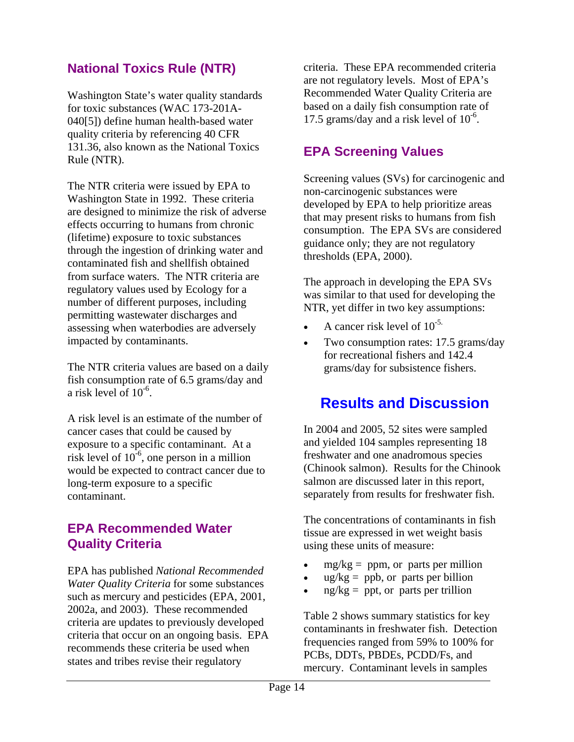## <span id="page-13-0"></span>**National Toxics Rule (NTR)**

Washington State's water quality standards for toxic substances (WAC 173-201A-040[5]) define human health-based water quality criteria by referencing 40 CFR 131.36, also known as the National Toxics Rule (NTR).

The NTR criteria were issued by EPA to Washington State in 1992. These criteria are designed to minimize the risk of adverse effects occurring to humans from chronic (lifetime) exposure to toxic substances through the ingestion of drinking water and contaminated fish and shellfish obtained from surface waters. The NTR criteria are regulatory values used by Ecology for a number of different purposes, including permitting wastewater discharges and assessing when waterbodies are adversely impacted by contaminants.

The NTR criteria values are based on a daily fish consumption rate of 6.5 grams/day and a risk level of 10-6.

A risk level is an estimate of the number of cancer cases that could be caused by exposure to a specific contaminant. At a risk level of  $10^{-6}$ , one person in a million would be expected to contract cancer due to long-term exposure to a specific contaminant.

### **EPA Recommended Water Quality Criteria**

EPA has published *National Recommended Water Quality Criteria* for some substances such as mercury and pesticides (EPA, 2001, 2002a, and 2003). These recommended criteria are updates to previously developed criteria that occur on an ongoing basis. EPA recommends these criteria be used when states and tribes revise their regulatory

criteria. These EPA recommended criteria are not regulatory levels. Most of EPA's Recommended Water Quality Criteria are based on a daily fish consumption rate of 17.5 grams/day and a risk level of  $10^{-6}$ .

## **EPA Screening Values**

Screening values (SVs) for carcinogenic and non-carcinogenic substances were developed by EPA to help prioritize areas that may present risks to humans from fish consumption. The EPA SVs are considered guidance only; they are not regulatory thresholds (EPA, 2000).

The approach in developing the EPA SVs was similar to that used for developing the NTR, yet differ in two key assumptions:

- A cancer risk level of  $10^{-5}$ .
- Two consumption rates: 17.5 grams/day for recreational fishers and 142.4 grams/day for subsistence fishers.

# **Results and Discussion**

In 2004 and 2005, 52 sites were sampled and yielded 104 samples representing 18 freshwater and one anadromous species (Chinook salmon). Results for the Chinook salmon are discussed later in this report, separately from results for freshwater fish.

The concentrations of contaminants in fish tissue are expressed in wet weight basis using these units of measure:

- $mg/kg =$  ppm, or parts per million
- $\frac{u g}{k g} = \frac{p b}{n}$ , or parts per billion
- $ng/kg =$  ppt, or parts per trillion

Table 2 shows summary statistics for key contaminants in freshwater fish. Detection frequencies ranged from 59% to 100% for PCBs, DDTs, PBDEs, PCDD/Fs, and mercury. Contaminant levels in samples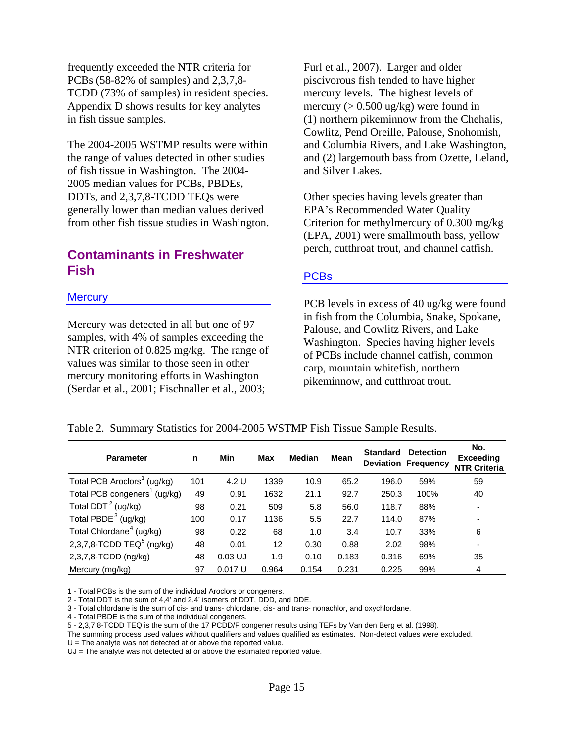<span id="page-14-0"></span>frequently exceeded the NTR criteria for PCBs (58-82% of samples) and 2,3,7,8- TCDD (73% of samples) in resident species. Appendix D shows results for key analytes in fish tissue samples.

The 2004-2005 WSTMP results were within the range of values detected in other studies of fish tissue in Washington. The 2004- 2005 median values for PCBs, PBDEs, DDTs, and 2,3,7,8-TCDD TEQs were generally lower than median values derived from other fish tissue studies in Washington.

### **Contaminants in Freshwater Fish**

#### **Mercury**

Mercury was detected in all but one of 97 samples, with 4% of samples exceeding the NTR criterion of 0.825 mg/kg. The range of values was similar to those seen in other mercury monitoring efforts in Washington (Serdar et al., 2001; Fischnaller et al., 2003;

Furl et al., 2007). Larger and older piscivorous fish tended to have higher mercury levels. The highest levels of mercury  $(> 0.500 \text{ ug/kg})$  were found in (1) northern pikeminnow from the Chehalis, Cowlitz, Pend Oreille, Palouse, Snohomish, and Columbia Rivers, and Lake Washington, and (2) largemouth bass from Ozette, Leland, and Silver Lakes.

Other species having levels greater than EPA's Recommended Water Quality Criterion for methylmercury of 0.300 mg/kg (EPA, 2001) were smallmouth bass, yellow perch, cutthroat trout, and channel catfish.

#### PCBs

PCB levels in excess of 40 ug/kg were found in fish from the Columbia, Snake, Spokane, Palouse, and Cowlitz Rivers, and Lake Washington. Species having higher levels of PCBs include channel catfish, common carp, mountain whitefish, northern pikeminnow, and cutthroat trout.

Table 2. Summary Statistics for 2004-2005 WSTMP Fish Tissue Sample Results.

| <b>Parameter</b>                         | n   | Min       | Max   | <b>Median</b> | <b>Mean</b> | <b>Standard</b> | <b>Detection</b><br><b>Deviation Frequency</b> | No.<br><b>Exceeding</b><br><b>NTR Criteria</b> |
|------------------------------------------|-----|-----------|-------|---------------|-------------|-----------------|------------------------------------------------|------------------------------------------------|
| Total PCB Aroclors <sup>1</sup> (ug/kg)  | 101 | 4.2 U     | 1339  | 10.9          | 65.2        | 196.0           | 59%                                            | 59                                             |
| Total PCB congeners <sup>1</sup> (ug/kg) | 49  | 0.91      | 1632  | 21.1          | 92.7        | 250.3           | 100%                                           | 40                                             |
| Total DDT $2$ (ug/kg)                    | 98  | 0.21      | 509   | 5.8           | 56.0        | 118.7           | 88%                                            |                                                |
| Total PBDE $3$ (ug/kg)                   | 100 | 0.17      | 1136  | 5.5           | 22.7        | 114.0           | 87%                                            |                                                |
| Total Chlordane <sup>4</sup> (ug/kg)     | 98  | 0.22      | 68    | 1.0           | 3.4         | 10.7            | 33%                                            | 6                                              |
| 2,3,7,8-TCDD TEQ <sup>5</sup> (ng/kg)    | 48  | 0.01      | 12    | 0.30          | 0.88        | 2.02            | 98%                                            |                                                |
| 2,3,7,8-TCDD (ng/kg)                     | 48  | $0.03$ UJ | 1.9   | 0.10          | 0.183       | 0.316           | 69%                                            | 35                                             |
| Mercury (mg/kg)                          | 97  | 0.017 U   | 0.964 | 0.154         | 0.231       | 0.225           | 99%                                            | 4                                              |

1 - Total PCBs is the sum of the individual Aroclors or congeners.

2 - Total DDT is the sum of 4,4' and 2,4' isomers of DDT, DDD, and DDE.

3 - Total chlordane is the sum of cis- and trans- chlordane, cis- and trans- nonachlor, and oxychlordane.

4 - Total PBDE is the sum of the individual congeners.

5 - 2,3,7,8-TCDD TEQ is the sum of the 17 PCDD/F congener results using TEFs by Van den Berg et al. (1998).

The summing process used values without qualifiers and values qualified as estimates. Non-detect values were excluded.  $U$  = The analyte was not detected at or above the reported value.

UJ = The analyte was not detected at or above the estimated reported value.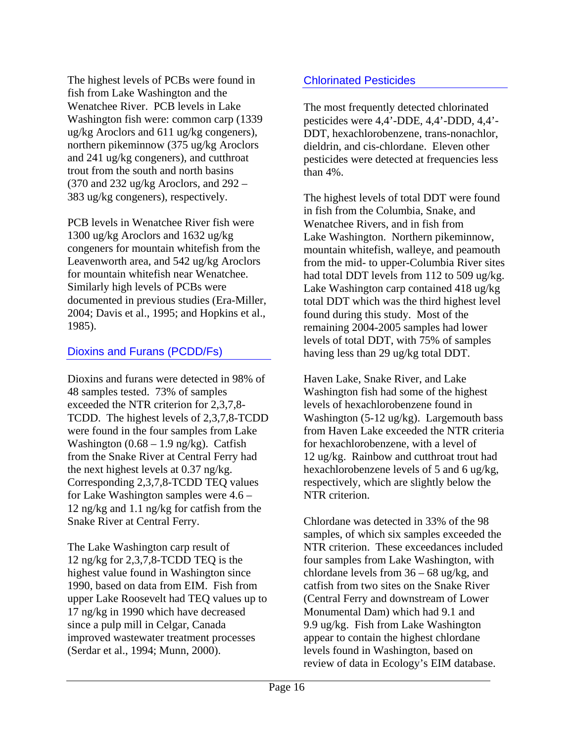<span id="page-15-0"></span>The highest levels of PCBs were found in Wenatchee River. PCB levels in Lake Washington fish were: common carp (1339) – (370 and 232 ug/kg Aroclors, and 292 fish from Lake Washington and the ug/kg Aroclors and 611 ug/kg congeners), northern pikeminnow (375 ug/kg Aroclors and 241 ug/kg congeners), and cutthroat trout from the south and north basins 383 ug/kg congeners), respectively.

PCB levels in Wenatchee River fish were congeners for mountain whitefish from the documented in previous studies (Era-Miller, 1300 ug/kg Aroclors and 1632 ug/kg Leavenworth area, and 542 ug/kg Aroclors for mountain whitefish near Wenatchee. Similarly high levels of PCBs were 2004; Davis et al., 1995; and Hopkins et al., 1985).

### Dioxins and Furans (PCDD/Fs)

Dioxins and furans were detected in 98% of exceeded the NTR criterion for 2,3,7,8-TCDD. The highest levels of  $2,3,7,8$ -TCDD from the Snake River at Central Ferry had Corresponding 2,3,7,8-TCDD TEQ values 48 samples tested. 73% of samples were found in the four samples from Lake Washington  $(0.68 - 1.9 \text{ ng/kg})$ . Catfish the next highest levels at 0.37 ng/kg. for Lake Washington samples were 4.6 – 12 ng/kg and 1.1 ng/kg for catfish from the Snake River at Central Ferry.

The Lake Washington carp result of 12 ng/kg for 2,3,7,8-TCDD TEQ is the improved wastewater treatment processes highest value found in Washington since 1990, based on data from EIM. Fish from upper Lake Roosevelt had TEQ values up to 17 ng/kg in 1990 which have decreased since a pulp mill in Celgar, Canada (Serdar et al., 1994; Munn, 2000).

### Chlorinated Pesticides

The most frequently detected chlorinated - pesticides were 4,4'-DDE, 4,4'-DDD, 4,4' DDT, hexachlorobenzene, trans-nonachlor, dieldrin, and cis-chlordane. Eleven other pesticides were detected at frequencies less than 4%.

The highest levels of total DDT were found Lake Washington. Northern pikeminnow, remaining 2004-2005 samples had lower in fish from the Columbia, Snake, and Wenatchee Rivers, and in fish from mountain whitefish, walleye, and peamouth from the mid- to upper-Columbia River sites had total DDT levels from 112 to 509 ug/kg. Lake Washington carp contained 418 ug/kg total DDT which was the third highest level found during this study. Most of the levels of total DDT, with 75% of samples having less than 29 ug/kg total DDT.

Haven Lake, Snake River, and Lake Washington fish had some of the highest Washington (5-12 ug/kg). Largemouth bass 12 ug/kg. Rainbow and cutthroat trout had levels of hexachlorobenzene found in from Haven Lake exceeded the NTR criteria for hexachlorobenzene, with a level of hexachlorobenzene levels of 5 and 6 ug/kg, respectively, which are slightly below the NTR criterion.

Chlordane was detected in 33% of the 98 samples, of which six samples exceeded the review of data in Ecology's EIM database. NTR criterion. These exceedances included four samples from Lake Washington, with chlordane levels from 36 – 68 ug/kg, and catfish from two sites on the Snake River (Central Ferry and downstream of Lower Monumental Dam) which had 9.1 and 9.9 ug/kg. Fish from Lake Washington appear to contain the highest chlordane levels found in Washington, based on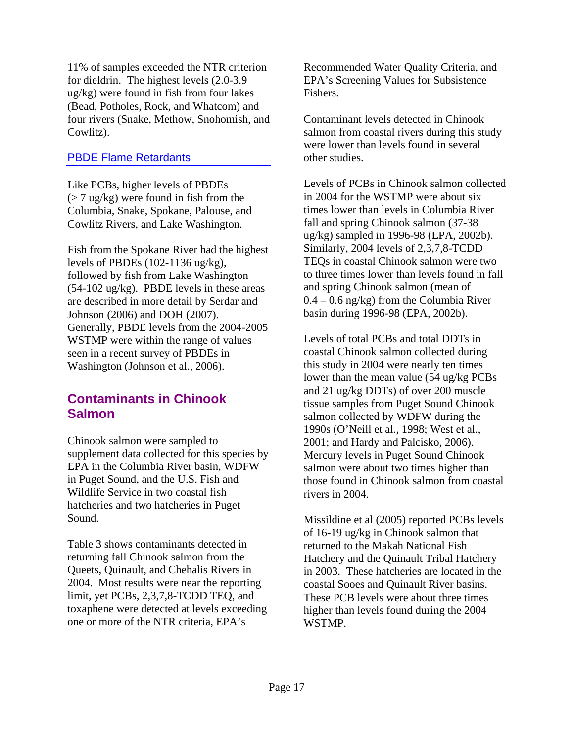<span id="page-16-0"></span>11% of samples exceeded the NTR crit erion for dieldrin. The highest levels (2.0-3.9 (Bead, Potholes, Rock, and Whatcom) and four rivers (Snake, Methow, Snohomish, and ug/kg) were found in fish from four lakes Cowlitz).

### PBDE Flame Retardants

Like PCBs, higher levels of PBDEs  $($  > 7 ug/kg) were found in fish from the Columbia, Snake, Spokane, Palouse, and Cowlitz Rivers, and Lake Washington.

Fish from the Spokane River had the highest levels of PBDEs  $(102-1136 \text{ ug/kg})$ ,  $(54-102 \text{ ug/kg})$ . PBDE levels in these areas Generally, PBDE levels from the 2004-2005 WSTMP were within the range of values followed by fish from Lake Washington are described in more detail by Serdar and Johnson (2006) and DOH (2007). seen in a recent survey of PBDEs in Washington (Johnson et al., 2006).

### **Contaminants in Chinook Salmon**

Chinook salmon were sampled to supplement data collected for this species by EPA in the Columbia River basin, WDFW in Puget Sound, and the U.S. Fish and Wildlife Service in two coastal fish hatcheries and two hatcheries in Puget Sound.

Table 3 shows contaminants detected in returning fall Chinook salmon from the 2004. Most results were near the reporting Queets, Quinault, and Chehalis Rivers in limit, yet PCBs, 2,3,7,8-TCDD TEQ, and toxaphene were detected at levels exceeding one or more of the NTR criteria, EPA's

Recommended Water Quality Criteria, and EPA's Screening Values for Subsistence Fishers.

Contaminant levels detected in Chinook salmon from coastal rivers during this study were lower than levels found in several other studies.

Levels of PCBs in Chinook salmon collected in 2004 for the WSTMP were about six times lower than levels in Columbia River fall and spring Chinook salmon (37-38 ug/kg) sampled in 1996-98 (EPA, 2002b). Similarly, 2004 levels of 2,3,7,8-TCDD TEQs in coastal Chinook salmon were two to three times lower than levels found in fall and spring Chinook salmon (mean of 0.4 – 0.6 ng/kg) from the Columbia River basin during 1996-98 (EPA, 2002b).

Levels of total PCBs and total DDTs in coastal Chinook salmon collected during this study in 2004 were nearly ten times lower than the mean value (54 ug/kg PCBs and 21 ug/kg DDTs) of over 200 muscle tissue samples from Puget Sound Chinook salmon collected by WDFW during the 1990s (O'Neill et al., 1998; West et al., 2001; and Hardy and Palcisko, 2006). Mercury levels in Puget Sound Chinook salmon were about two times higher than those found in Chinook salmon from coastal rivers in 2004.

Missildine et al (2005) reported PCBs levels of 16-19 ug/kg in Chinook salmon that returned to the Makah National Fish Hatchery and the Quinault Tribal Hatchery in 2003. These hatcheries are located in the coastal Sooes and Quinault River basins. These PCB levels were about three times higher than levels found during the 2004 WSTMP.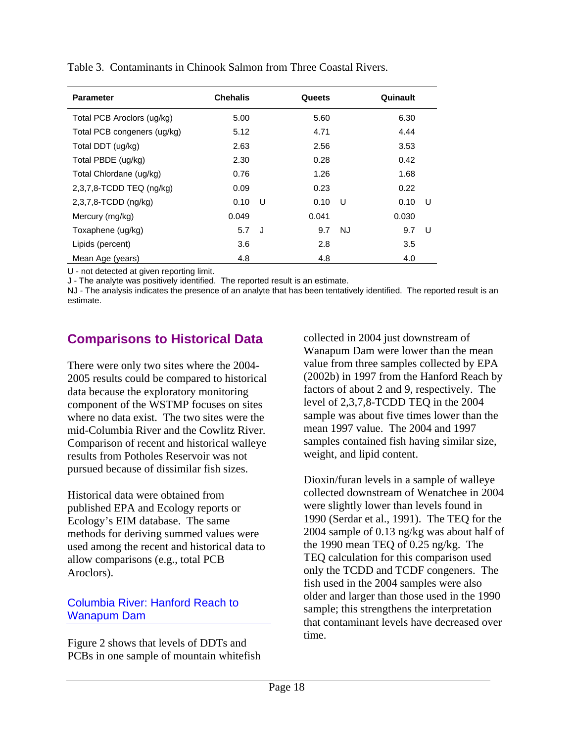| <b>Parameter</b>            | <b>Chehalis</b> |          | <b>Queets</b> |     | Quinault |     |
|-----------------------------|-----------------|----------|---------------|-----|----------|-----|
| Total PCB Aroclors (ug/kg)  | 5.00            |          | 5.60          |     | 6.30     |     |
| Total PCB congeners (ug/kg) | 5.12            |          | 4.71          |     | 4.44     |     |
| Total DDT (ug/kg)           | 2.63            |          | 2.56          |     | 3.53     |     |
| Total PBDE (ug/kg)          | 2.30            |          | 0.28          |     | 0.42     |     |
| Total Chlordane (ug/kg)     | 0.76            |          | 1.26          |     | 1.68     |     |
| 2,3,7,8-TCDD TEQ (ng/kg)    | 0.09            |          | 0.23          |     | 0.22     |     |
| $2,3,7,8$ -TCDD (ng/kg)     | 0.10            | U        | 0.10          | -U  | 0.10     | U   |
| Mercury (mg/kg)             | 0.049           |          | 0.041         |     | 0.030    |     |
| Toxaphene (ug/kg)           | 5.7             | <u>ل</u> | 9.7           | NJ. | 9.7      | - U |
| Lipids (percent)            | 3.6             |          | 2.8           |     | 3.5      |     |
| Mean Age (years)            | 4.8             |          | 4.8           |     | 4.0      |     |

<span id="page-17-0"></span>Table 3. Contaminants in Chinook Salmon from Three Coastal Rivers.

U - not detected at given reporting limit.

J - The analyte was positively identified. The reported result is an estimate.

NJ - The analysis indicates the presence of an analyte that has been tentatively identified. The reported result is an estimate.

## **Comparisons to Historical Data**

There were only two sites where the 2004- 2005 results could be compared to historical data because the exploratory monitoring component of the WSTMP focuses on sites where no data exist. The two sites were the mid-Columbia River and the Cowlitz River. Comparison of recent and historical walleye results from Potholes Reservoir was not pursued because of dissimilar fish sizes.

Historical data were obtained from published EPA and Ecology reports or Ecology's EIM database. The same methods for deriving summed values were used among the recent and historical data to allow comparisons (e.g., total PCB Aroclors).

#### Columbia River: Hanford Reach to Wanapum Dam

Figure 2 shows that levels of DDTs and PCBs in one sample of mountain whitefish collected in 2004 just downstream of Wanapum Dam were lower than the mean value from three samples collected by EPA (2002b) in 1997 from the Hanford Reach by factors of about 2 and 9, respectively. The level of 2,3,7,8-TCDD TEQ in the 2004 sample was about five times lower than the mean 1997 value. The 2004 and 1997 samples contained fish having similar size, weight, and lipid content.

Dioxin/furan levels in a sample of walleye collected downstream of Wenatchee in 2004 were slightly lower than levels found in 1990 (Serdar et al., 1991). The TEQ for the 2004 sample of 0.13 ng/kg was about half of the 1990 mean TEQ of 0.25 ng/kg. The TEQ calculation for this comparison used only the TCDD and TCDF congeners. The fish used in the 2004 samples were also older and larger than those used in the 1990 sample; this strengthens the interpretation that contaminant levels have decreased over time.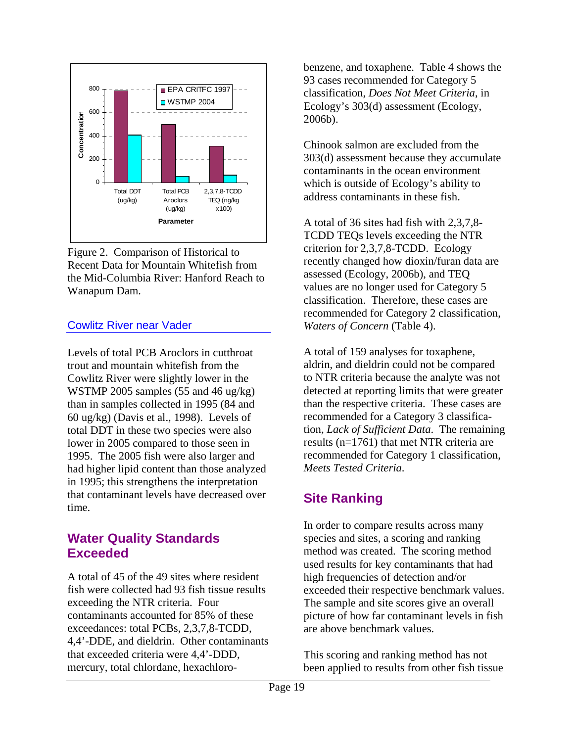<span id="page-18-0"></span>



### Cowlitz River near Vader

Levels of total PCB Aroclors in cutthroat trout and mountain whitefish from the Cowlitz River were slightly lower in the WSTMP 2005 samples (55 and 46 ug/kg) than in samples collected in 1995 (84 and 60 ug/kg) (Davis et al., 1998). Levels of total DDT in these two species were also lower in 2005 compared to those seen in 1995. The 2005 fish were also larger and had higher lipid content than those analyzed in 1995; this strengthens the interpretation that contaminant levels have decreased over time.

### **Water Quality Standards Exceeded**

A total of 45 of the 49 sites where resident fish were collected had 93 fish tissue results exceeding the NTR criteria. Four contaminants accounted for 85% of these exceedances: total PCBs, 2,3,7,8-TCDD, 4,4'-DDE, and dieldrin. Other contaminants that exceeded criteria were 4,4'-DDD, mercury, total chlordane, hexachlorobenzene, and toxaphene. Table 4 shows the 93 cases recommended for Category 5 classification, *Does Not Meet Criteria*, in Ecology's 303(d) assessment (Ecology, 2006b).

Chinook salmon are excluded from the 303(d) assessment because they accumulate contaminants in the ocean environment which is outside of Ecology's ability to address contaminants in these fish.

A total of 36 sites had fish with 2,3,7,8- TCDD TEQs levels exceeding the NTR criterion for 2,3,7,8-TCDD. Ecology recently changed how dioxin/furan data are assessed (Ecology, 2006b), and TEQ values are no longer used for Category 5 classification. Therefore, these cases are recommended for Category 2 classification, *Waters of Concern* (Table 4).

A total of 159 analyses for toxaphene, aldrin, and dieldrin could not be compared to NTR criteria because the analyte was not detected at reporting limits that were greater than the respective criteria. These cases are recommended for a Category 3 classification, *Lack of Sufficient Data*. The remaining results (n=1761) that met NTR criteria are recommended for Category 1 classification, *Meets Tested Criteria*.

## **Site Ranking**

In order to compare results across many species and sites, a scoring and ranking method was created. The scoring method used results for key contaminants that had high frequencies of detection and/or exceeded their respective benchmark values. The sample and site scores give an overall picture of how far contaminant levels in fish are above benchmark values.

This scoring and ranking method has not been applied to results from other fish tissue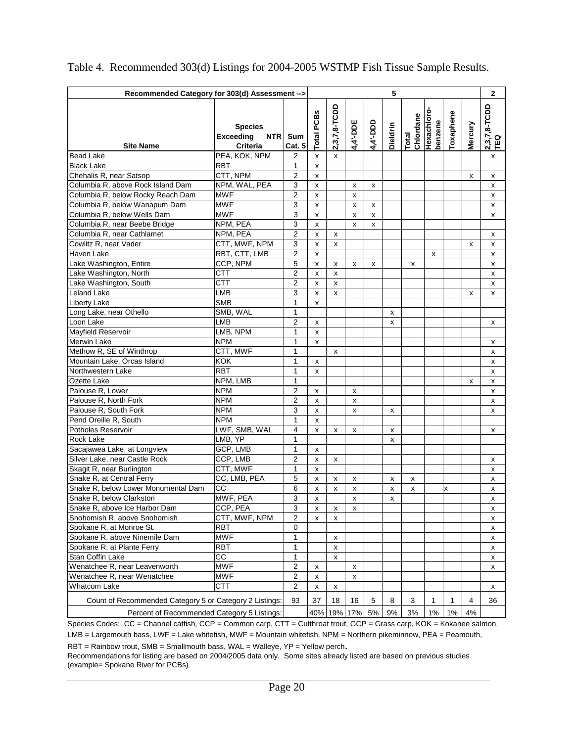| Recommended Category for 303(d) Assessment -->              | 5                                                            |                                |                    |                |                    |          |                 |                    |                        |           |         |                      |
|-------------------------------------------------------------|--------------------------------------------------------------|--------------------------------|--------------------|----------------|--------------------|----------|-----------------|--------------------|------------------------|-----------|---------|----------------------|
| <b>Site Name</b>                                            | <b>Species</b><br><b>Exceeding</b><br>NTR<br><b>Criteria</b> | Sum<br><b>Cat. 5</b>           | <b>Total PCBs</b>  | 2,3,7,8-TCDD   | 4,4'-DDE           | 4,4'-DDD | <b>Dieldrin</b> | Total<br>Chlordane | Hexachloro-<br>benzene | Toxaphene | Mercury | 2,3,7,8-TCDD<br> ΤΕQ |
| <b>Bead Lake</b>                                            | PEA, KOK, NPM                                                | $\overline{2}$                 | X                  | X              |                    |          |                 |                    |                        |           |         |                      |
| <b>Black Lake</b>                                           | <b>RBT</b>                                                   | $\mathbf{1}$                   |                    |                |                    |          |                 |                    |                        |           |         | X                    |
|                                                             |                                                              | $\overline{2}$                 | $\pmb{\mathsf{x}}$ |                |                    |          |                 |                    |                        |           |         |                      |
| Chehalis R, near Satsop                                     | CTT, NPM                                                     |                                | $\pmb{\times}$     |                |                    |          |                 |                    |                        |           | x       | х                    |
| Columbia R, above Rock Island Dam                           | NPM, WAL, PEA                                                | 3<br>$\overline{2}$            | $\pmb{\mathsf{x}}$ |                | X                  | x        |                 |                    |                        |           |         | x                    |
| Columbia R, below Rocky Reach Dam                           | <b>MWF</b><br><b>MWF</b>                                     |                                | X                  |                | $\pmb{\times}$     |          |                 |                    |                        |           |         | x                    |
| Columbia R, below Wanapum Dam                               | <b>MWF</b>                                                   | 3<br>3                         | x                  |                | x                  | X        |                 |                    |                        |           |         | x                    |
| Columbia R, below Wells Dam                                 | NPM, PEA                                                     | 3                              | x                  |                | x                  | x        |                 |                    |                        |           |         | x                    |
| Columbia R, near Beebe Bridge<br>Columbia R, near Cathlamet | NPM, PEA                                                     | $\overline{2}$                 | x                  |                | X                  | x        |                 |                    |                        |           |         |                      |
|                                                             |                                                              |                                | x                  | x              |                    |          |                 |                    |                        |           |         | х                    |
| Cowlitz R, near Vader                                       | CTT, MWF, NPM                                                | 3                              | x                  | x              |                    |          |                 |                    |                        |           | x       | x                    |
| Haven Lake                                                  | RBT, CTT, LMB                                                | 2<br>5                         | x                  |                |                    |          |                 |                    | x                      |           |         | x                    |
| Lake Washington, Entire                                     | CCP, NPM                                                     |                                | x                  | x              | X                  | x        |                 | x                  |                        |           |         | x                    |
| Lake Washington, North                                      | CTT                                                          | $\overline{c}$                 | x                  | x              |                    |          |                 |                    |                        |           |         | x                    |
| Lake Washington, South                                      | <b>CTT</b>                                                   | $\overline{2}$                 | x                  | x              |                    |          |                 |                    |                        |           |         | x                    |
| Leland Lake                                                 | LMB                                                          | 3                              | x                  | x              |                    |          |                 |                    |                        |           | x       | x                    |
| Liberty Lake                                                | <b>SMB</b>                                                   | $\mathbf{1}$                   | x                  |                |                    |          |                 |                    |                        |           |         |                      |
| Long Lake, near Othello                                     | SMB, WAL                                                     | $\mathbf{1}$                   |                    |                |                    |          | х               |                    |                        |           |         |                      |
| Loon Lake                                                   | LMB                                                          | 2                              | X                  |                |                    |          | x               |                    |                        |           |         | х                    |
| Mayfield Reservoir                                          | LMB, NPM                                                     | 1                              | X                  |                |                    |          |                 |                    |                        |           |         |                      |
| Merwin Lake                                                 | <b>NPM</b>                                                   | 1                              | x                  |                |                    |          |                 |                    |                        |           |         | х                    |
| Methow R, SE of Winthrop                                    | CTT, MWF                                                     | 1                              |                    | X              |                    |          |                 |                    |                        |           |         | x                    |
| Mountain Lake, Orcas Island                                 | <b>KOK</b>                                                   | 1                              | X                  |                |                    |          |                 |                    |                        |           |         | x                    |
| Northwestern Lake                                           | RBT                                                          | 1                              | X                  |                |                    |          |                 |                    |                        |           |         | x                    |
| Ozette Lake                                                 | NPM, LMB                                                     | $\mathbf{1}$                   |                    |                |                    |          |                 |                    |                        |           | x       | x                    |
| Palouse R, Lower                                            | <b>NPM</b>                                                   | $\overline{c}$                 | X                  |                | x                  |          |                 |                    |                        |           |         | x                    |
| Palouse R, North Fork                                       | <b>NPM</b>                                                   | $\overline{2}$                 | x                  |                | x                  |          |                 |                    |                        |           |         | x                    |
| Palouse R, South Fork                                       | <b>NPM</b>                                                   | 3                              | x                  |                | X                  |          | х               |                    |                        |           |         | x                    |
| Pend Oreille R, South                                       | <b>NPM</b>                                                   | $\mathbf{1}$                   | $\pmb{\mathsf{x}}$ |                |                    |          |                 |                    |                        |           |         |                      |
| Potholes Reservoir                                          | LWF, SMB, WAL                                                | $\overline{4}$                 | x                  | x              | x                  |          | х               |                    |                        |           |         | х                    |
| Rock Lake                                                   | LMB, YP                                                      | 1                              |                    |                |                    |          | х               |                    |                        |           |         |                      |
| Sacajawea Lake, at Longview                                 | GCP, LMB                                                     | $\mathbf{1}$                   | X                  |                |                    |          |                 |                    |                        |           |         |                      |
| Silver Lake, near Castle Rock                               | CCP, LMB                                                     | $\overline{2}$                 | $\mathsf{x}$       | x              |                    |          |                 |                    |                        |           |         | х                    |
| Skagit R, near Burlington<br>Snake R, at Central Ferry      | CTT, MWF                                                     | $\mathbf{1}$<br>5              | x                  |                |                    |          |                 |                    |                        |           |         | x                    |
| Snake R, below Lower Monumental Dam                         | CC, LMB, PEA<br>CC                                           | $\,6\,$                        | x                  | x              | x                  |          | x               | x                  |                        |           |         | x                    |
| Snake R, below Clarkston                                    | MWF, PEA                                                     | 3                              | x                  | X              | x                  |          | x               | x                  |                        | x         |         | x                    |
| Snake R, above Ice Harbor Dam                               | CCP, PEA                                                     |                                | x                  |                | x                  |          | x               |                    |                        |           |         | x                    |
|                                                             | CTT, MWF, NPM                                                | 3<br>2                         | х                  | x              | x                  |          |                 |                    |                        |           |         | х                    |
| Snohomish R, above Snohomish<br>Spokane R, at Monroe St.    |                                                              | $\mathbf 0$                    | x                  | x              |                    |          |                 |                    |                        |           |         | х                    |
|                                                             | RBT<br><b>MWF</b>                                            |                                |                    |                |                    |          |                 |                    |                        |           |         | x                    |
| Spokane R, above Ninemile Dam                               | <b>RBT</b>                                                   | $\mathbf{1}$                   |                    | x              |                    |          |                 |                    |                        |           |         | x                    |
| Spokane R, at Plante Ferry                                  |                                                              | 1                              |                    | X              |                    |          |                 |                    |                        |           |         | x                    |
| Stan Coffin Lake                                            | CС<br><b>MWF</b>                                             | $\mathbf{1}$<br>$\overline{2}$ |                    | X              |                    |          |                 |                    |                        |           |         | x                    |
| Wenatchee R, near Leavenworth                               |                                                              |                                | x                  |                | x                  |          |                 |                    |                        |           |         | x                    |
| Wenatchee R, near Wenatchee                                 | <b>MWF</b>                                                   | $\boldsymbol{2}$               | x                  |                | $\pmb{\mathsf{x}}$ |          |                 |                    |                        |           |         |                      |
| <b>Whatcom Lake</b>                                         | <b>CTT</b>                                                   | $\overline{c}$                 | $\pmb{\times}$     | x              |                    |          |                 |                    |                        |           |         | x                    |
| Count of Recommended Category 5 or Category 2 Listings:     | 93                                                           | 37                             | 18                 | 16             | 5                  | 8        | 3               | 1                  | 1                      | 4         | 36      |                      |
| Percent of Recommended Category 5 Listings:                 |                                                              |                                |                    | 40% 19% 17% 5% |                    | 9%       | 3%              | 1%                 | 1%                     | 4%        |         |                      |

#### Table 4. Recommended 303(d) Listings for 2004-2005 WSTMP Fish Tissue Sample Results.

Species Codes: CC = Channel catfish, CCP = Common carp, CTT = Cutthroat trout, GCP = Grass carp, KOK = Kokanee salmon, LMB = Largemouth bass, LWF = Lake whitefish, MWF = Mountain whitefish, NPM = Northern pikeminnow, PEA = Peamouth,

RBT = Rainbow trout, SMB = Smallmouth bass, WAL = Walleye, YP = Yellow perch.

Recommendations for listing are based on 2004/2005 data only. Some sites already listed are based on previous studies (example= Spokane River for PCBs)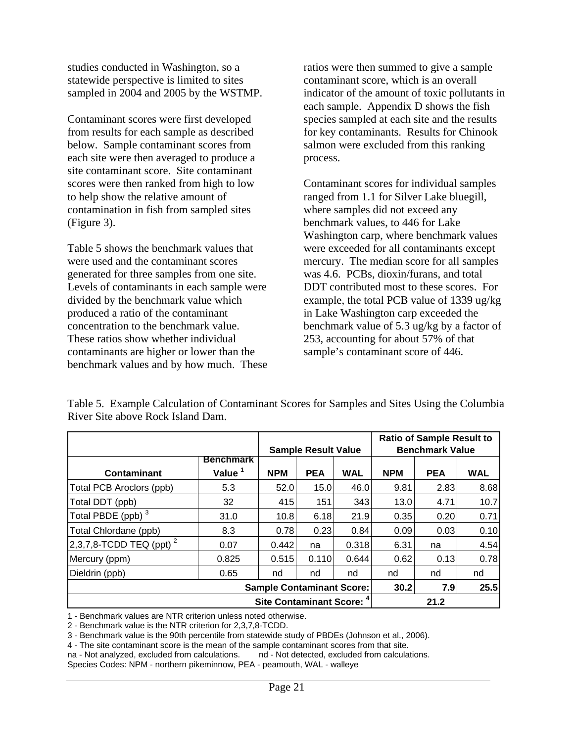studies conducted in Washington, so a statewide perspective is limited to sites sampled in 2004 and 2005 by the WSTMP.

Contaminant scores were first developed from results for each sample as described below. Sample contaminant scores from each site were then averaged to produce a site contaminant score. Site contaminant scores were then ranked from high to low to help show the relative amount of contamination in fish from sampled sites (Figure 3).

Table 5 shows the benchmark values that were used and the contaminant scores generated for three samples from one site. Levels of contaminants in each sample were divided by the benchmark value which produced a ratio of the contaminant concentration to the benchmark value. These ratios show whether individual contaminants are higher or lower than the benchmark values and by how much. These ratios were then summed to give a sample contaminant score, which is an overall indicator of the amount of toxic pollutants in each sample. Appendix D shows the fish species sampled at each site and the results for key contaminants. Results for Chinook salmon were excluded from this ranking process.

Contaminant scores for individual samples ranged from 1.1 for Silver Lake bluegill, where samples did not exceed any benchmark values, to 446 for Lake Washington carp, where benchmark values were exceeded for all contaminants except mercury. The median score for all samples was 4.6. PCBs, dioxin/furans, and total DDT contributed most to these scores. For example, the total PCB value of 1339 ug/kg in Lake Washington carp exceeded the benchmark value of 5.3 ug/kg by a factor of 253, accounting for about 57% of that sample's contaminant score of 446.

Table 5. Example Calculation of Contaminant Scores for Samples and Sites Using the Columbia River Site above Rock Island Dam.

|                                     |                    |                                  | <b>Sample Result Value</b> |            | <b>Ratio of Sample Result to</b><br><b>Benchmark Value</b> |            |            |  |  |  |  |  |
|-------------------------------------|--------------------|----------------------------------|----------------------------|------------|------------------------------------------------------------|------------|------------|--|--|--|--|--|
|                                     | <b>Benchmark</b>   |                                  |                            |            |                                                            |            |            |  |  |  |  |  |
| Contaminant                         | Value <sup>1</sup> | <b>NPM</b>                       | <b>PEA</b>                 | <b>WAL</b> | <b>NPM</b>                                                 | <b>PEA</b> | <b>WAL</b> |  |  |  |  |  |
| Total PCB Aroclors (ppb)            | 5.3                | 52.0                             | 15.0                       | 46.0       | 9.81                                                       | 2.83       | 8.68       |  |  |  |  |  |
| Total DDT (ppb)                     | 32                 | 415                              | 151                        | 343        | 13.0                                                       | 4.71       | 10.7       |  |  |  |  |  |
| Total PBDE (ppb) <sup>3</sup>       | 31.0               | 10.8                             | 6.18                       | 21.9       | 0.35                                                       | 0.20       | 0.71       |  |  |  |  |  |
| Total Chlordane (ppb)               | 8.3                | 0.78                             | 0.23                       | 0.84       | 0.09                                                       | 0.03       | 0.10       |  |  |  |  |  |
| 2,3,7,8-TCDD TEQ (ppt) <sup>2</sup> | 0.07               | 0.442                            | na                         | 0.318      | 6.31                                                       | na         | 4.54       |  |  |  |  |  |
| Mercury (ppm)                       | 0.825              | 0.515                            | 0.110                      | 0.644      | 0.62                                                       | 0.13       | 0.78       |  |  |  |  |  |
| Dieldrin (ppb)                      | 0.65               | nd                               | nd                         | nd         | nd                                                         | nd         | nd         |  |  |  |  |  |
|                                     |                    | <b>Sample Contaminant Score:</b> |                            |            | 30.2                                                       | 7.9        | 25.5       |  |  |  |  |  |
|                                     |                    | <b>Site Contaminant Score:</b>   |                            |            | 21.2                                                       |            |            |  |  |  |  |  |

1 - Benchmark values are NTR criterion unless noted otherwise.

2 - Benchmark value is the NTR criterion for 2,3,7,8-TCDD.

3 - Benchmark value is the 90th percentile from statewide study of PBDEs (Johnson et al., 2006).

4 - The site contaminant score is the mean of the sample contaminant scores from that site.

na - Not analyzed, excluded from calculations. nd - Not detected, excluded from calculations.

Species Codes: NPM - northern pikeminnow, PEA - peamouth, WAL - walleye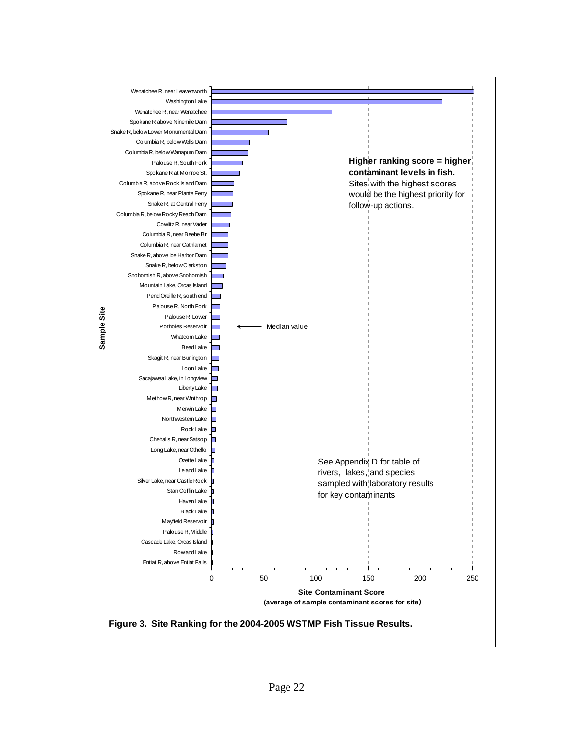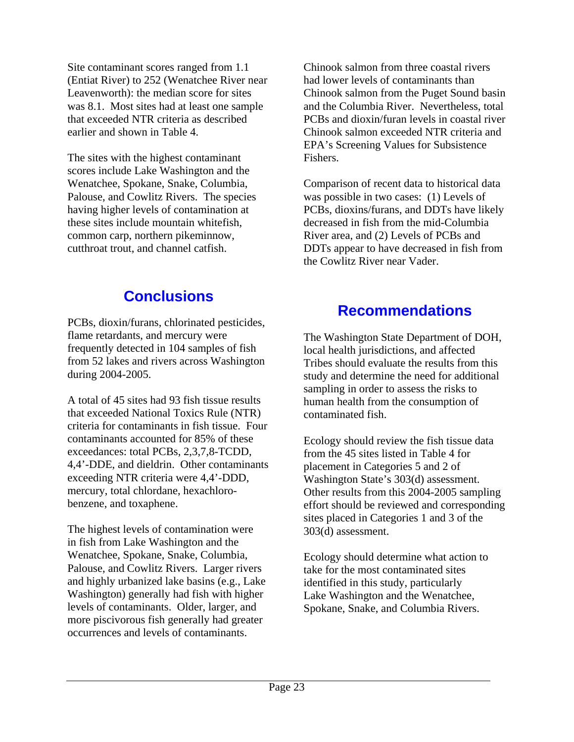<span id="page-22-0"></span>Site contaminant scores ranged from 1.1 (Entiat River) to 252 (Wenatchee River near Leavenworth): the median score for sites was 8.1. Most sites had at least one sample that exceeded NTR criteria as described earlier and shown in Table 4.

The sites with the highest contaminant scores include Lake Washington and the Wenatchee, Spokane, Snake, Columbia, Palouse, and Cowlitz Rivers. The species having higher levels of contamination at these sites include mountain whitefish, common carp, northern pikeminnow, cutthroat trout, and channel catfish.

# **Conclusions**

PCBs, dioxin/furans, chlorinated pesticides, flame retardants, and mercury were frequently detected in 104 samples of fish from 52 lakes and rivers across Washington during 2004-2005.

A total of 45 sites had 93 fish tissue results that exceeded National Toxics Rule (NTR) criteria for contaminants in fish tissue. Four contaminants accounted for 85% of these exceedances: total PCBs, 2,3,7,8-TCDD, 4,4'-DDE, and dieldrin. Other contaminants exceeding NTR criteria were 4,4'-DDD, mercury, total chlordane, hexachlorobenzene, and toxaphene.

The highest levels of contamination were in fish from Lake Washington and the Wenatchee, Spokane, Snake, Columbia, Palouse, and Cowlitz Rivers. Larger rivers and highly urbanized lake basins (e.g., Lake Washington) generally had fish with higher levels of contaminants. Older, larger, and more piscivorous fish generally had greater occurrences and levels of contaminants.

Chinook salmon from three coastal rivers had lower levels of contaminants than Chinook salmon from the Puget Sound basin and the Columbia River. Nevertheless, total PCBs and dioxin/furan levels in coastal river Chinook salmon exceeded NTR criteria and EPA's Screening Values for Subsistence Fishers.

Comparison of recent data to historical data was possible in two cases: (1) Levels of PCBs, dioxins/furans, and DDTs have likely decreased in fish from the mid-Columbia River area, and (2) Levels of PCBs and DDTs appear to have decreased in fish from the Cowlitz River near Vader.

# **Recommendations**

The Washington State Department of DOH, local health jurisdictions, and affected Tribes should evaluate the results from this study and determine the need for additional sampling in order to assess the risks to human health from the consumption of contaminated fish.

Ecology should review the fish tissue data from the 45 sites listed in Table 4 for placement in Categories 5 and 2 of Washington State's 303(d) assessment. Other results from this 2004-2005 sampling effort should be reviewed and corresponding sites placed in Categories 1 and 3 of the 303(d) assessment.

Ecology should determine what action to take for the most contaminated sites identified in this study, particularly Lake Washington and the Wenatchee, Spokane, Snake, and Columbia Rivers.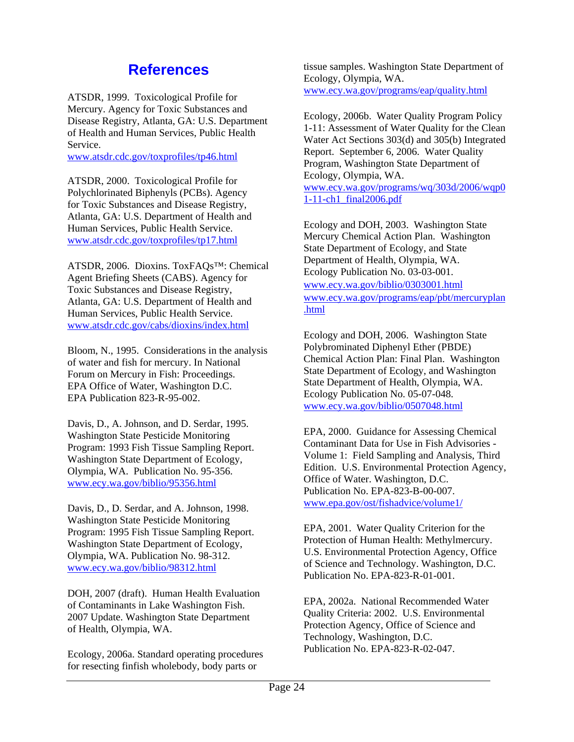# **References**

<span id="page-23-0"></span>ATSDR, 1999. Toxicological Profile for Mercury. Agency for Toxic Substances and Disease Registry, Atlanta, GA: U.S. Department of Health and Human Services, Public Health Service.

[www.atsdr.cdc.gov/toxprofiles/tp46.html](http://www.atsdr.cdc.gov/toxpro2.html)

ATSDR, 2000. Toxicological Profile for Polychlorinated Biphenyls (PCBs). Agency for Toxic Substances and Disease Registry, Atlanta, GA: U.S. Department of Health and Human Services, Public Health Service. [www.atsdr.cdc.gov/toxprofiles/tp17.html](http://www.atsdr.cdc.gov/toxprofiles/tp17.html)

ATSDR, 2006. Dioxins. ToxFAQs™: Chemical Agent Briefing Sheets (CABS). Agency for Toxic Substances and Disease Registry, Atlanta, GA: U.S. Department of Health and Human Services, Public Health Service. [www.atsdr.cdc.gov/cabs/dioxins/index.html](http://www.atsdr.cdc.gov/cabs/dioxins/index.html) 

Bloom, N., 1995. Considerations in the analysis of water and fish for mercury. In National Forum on Mercury in Fish: Proceedings. EPA Office of Water, Washington D.C. EPA Publication 823-R-95-002.

Davis, D., A. Johnson, and D. Serdar, 1995. Washington State Pesticide Monitoring Program: 1993 Fish Tissue Sampling Report. Washington State Department of Ecology, Olympia, WA. Publication No. 95-356. [www.ecy.wa.gov/biblio/95356.html](http://www.ecy.wa.gov/biblio/95356.html)

Davis, D., D. Serdar, and A. Johnson, 1998. Washington State Pesticide Monitoring Program: 1995 Fish Tissue Sampling Report. Washington State Department of Ecology, Olympia, WA. Publication No. 98-312. [www.ecy.wa.gov/biblio/98312.html](http://www.ecy.wa.gov/biblio/98312.html)

DOH, 2007 (draft). Human Health Evaluation of Contaminants in Lake Washington Fish. 2007 Update. Washington State Department of Health, Olympia, WA.

Ecology, 2006a. Standard operating procedures for resecting finfish wholebody, body parts or

tissue samples. Washington State Department of Ecology, Olympia, WA. [www.ecy.wa.gov/programs/eap/quality.html](http://www.ecy.wa.gov/programs/eap/quality.html)

Ecology, 2006b. Water Quality Program Policy 1-11: Assessment of Water Quality for the Clean Water Act Sections 303(d) and 305(b) Integrated Report. September 6, 2006. Water Quality Program, Washington State Department of Ecology, Olympia, WA. [www.ecy.wa.gov/programs/wq/303d/2006/wqp0](http://www.ecy.wa.gov/programs/wq/303d/2006/wqp01-11-ch1_final2006.pdf) [1-11-ch1\\_final2006.pdf](http://www.ecy.wa.gov/programs/wq/303d/2006/wqp01-11-ch1_final2006.pdf)

Ecology and DOH, 2003. Washington State Mercury Chemical Action Plan. Washington State Department of Ecology, and State Department of Health, Olympia, WA. Ecology Publication No. 03-03-001. [www.ecy.wa.gov/biblio/0303001.html](http://www.ecy.wa.gov/biblio/0303001.html) [www.ecy.wa.gov/programs/eap/pbt/mercuryplan](http://www.ecy.wa.gov/programs/eap/pbt/mercuryplan.html) [.html](http://www.ecy.wa.gov/programs/eap/pbt/mercuryplan.html)

Ecology and DOH, 2006. Washington State Polybrominated Diphenyl Ether (PBDE) Chemical Action Plan: Final Plan. Washington State Department of Ecology, and Washington State Department of Health, Olympia, WA. Ecology Publication No. 05-07-048. [www.ecy.wa.gov/biblio/0507048.html](http://www.ecy.wa.gov/biblio/0507048.html)

EPA, 2000. Guidance for Assessing Chemical Contaminant Data for Use in Fish Advisories - Volume 1: Field Sampling and Analysis, Third Edition. U.S. Environmental Protection Agency, Office of Water. Washington, D.C. Publication No. EPA-823-B-00-007. [www.epa.gov/ost/fishadvice/volume1/](http://www.epa.gov/ost/fishadvice/volume1/)

EPA, 2001. Water Quality Criterion for the Protection of Human Health: Methylmercury. U.S. Environmental Protection Agency, Office of Science and Technology. Washington, D.C. Publication No. EPA-823-R-01-001.

EPA, 2002a. National Recommended Water Quality Criteria: 2002. U.S. Environmental Protection Agency, Office of Science and Technology, Washington, D.C. Publication No. EPA-823-R-02-047.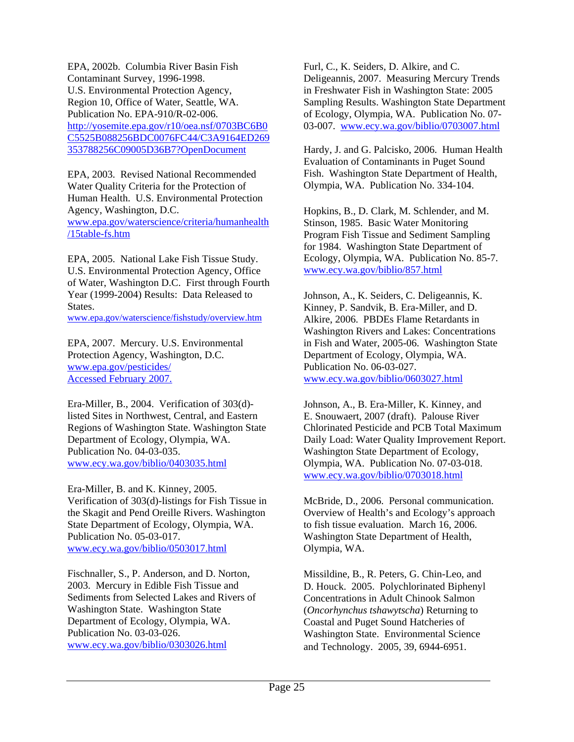EPA, 2002b. Columbia River Basin Fish Contaminant Survey, 1996-1998. U.S. Environmental Protection Agency, Region 10, Office of Water, Seattle, WA. Publication No. EPA-910/R-02-006. [http://yosemite.epa.gov/r10/oea.nsf/0703BC6B0](http://yosemite.epa.gov/r10/oea.nsf/0703BC6B0C5525B088256BDC0076FC44/C3A9164ED269353788256C09005D36B7?OpenDocument) [C5525B088256BDC0076FC44/C3A9164ED269](http://yosemite.epa.gov/r10/oea.nsf/0703BC6B0C5525B088256BDC0076FC44/C3A9164ED269353788256C09005D36B7?OpenDocument) [353788256C09005D36B7?OpenDocument](http://yosemite.epa.gov/r10/oea.nsf/0703BC6B0C5525B088256BDC0076FC44/C3A9164ED269353788256C09005D36B7?OpenDocument)

EPA, 2003. Revised National Recommended Water Quality Criteria for the Protection of Human Health. U.S. Environmental Protection Agency, Washington, D.C. [www.epa.gov/waterscience/criteria/humanhealth](http://www.epa.gov/waterscience/criteria/humanhealth/15table-fs.htm) [/15table-fs.htm](http://www.epa.gov/waterscience/criteria/humanhealth/15table-fs.htm)

EPA, 2005. National Lake Fish Tissue Study. U.S. Environmental Protection Agency, Office of Water, Washington D.C. First through Fourth Year (1999-2004) Results: Data Released to States.

[www.epa.gov/waterscience/fishstudy/overview.htm](http://www.epa.gov/waterscience/fishstudy/overview.htm)

EPA, 2007. Mercury. U.S. Environmental Protection Agency, Washington, D.C. [www.epa.gov/pesticides/](http://www.epa.gov/pesticides/) Accessed February 2007.

Era-Miller, B., 2004. Verification of 303(d) listed Sites in Northwest, Central, and Eastern Regions of Washington State. Washington State Department of Ecology, Olympia, WA. Publication No. 04-03-035. [www.ecy.wa.gov/biblio/0403035.html](http://www.ecy.wa.gov/biblio/0403035.html)

Era-Miller, B. and K. Kinney, 2005. Verification of 303(d)-listings for Fish Tissue in the Skagit and Pend Oreille Rivers. Washington State Department of Ecology, Olympia, WA. Publication No. 05-03-017. [www.ecy.wa.gov/biblio/0503017.html](http://www.ecy.wa.gov/biblio/0503017.html)

Fischnaller, S., P. Anderson, and D. Norton, 2003. Mercury in Edible Fish Tissue and Sediments from Selected Lakes and Rivers of Washington State. Washington State Department of Ecology, Olympia, WA. Publication No. 03-03-026. [www.ecy.wa.gov/biblio/0303026.html](http://www.ecy.wa.gov/biblio/0303026.html)

Furl, C., K. Seiders, D. Alkire, and C. Deligeannis, 2007. Measuring Mercury Trends in Freshwater Fish in Washington State: 2005 Sampling Results. Washington State Department of Ecology, Olympia, WA. Publication No. 07- 03-007. [www.ecy.wa.gov/biblio/0703007.html](http://www.ecy.wa.gov/biblio/0703007.html)

Hardy, J. and G. Palcisko, 2006. Human Health Evaluation of Contaminants in Puget Sound Fish. Washington State Department of Health, Olympia, WA. Publication No. 334-104.

Hopkins, B., D. Clark, M. Schlender, and M. Stinson, 1985. Basic Water Monitoring Program Fish Tissue and Sediment Sampling for 1984. Washington State Department of Ecology, Olympia, WA. Publication No. 85-7. [www.ecy.wa.gov/biblio/857.html](http://www.ecy.wa.gov/biblio/857.html)

Johnson, A., K. Seiders, C. Deligeannis, K. Kinney, P. Sandvik, B. Era-Miller, and D. Alkire, 2006. PBDEs Flame Retardants in Washington Rivers and Lakes: Concentrations in Fish and Water, 2005-06. Washington State Department of Ecology, Olympia, WA. Publication No. 06-03-027. [www.ecy.wa.gov/biblio/0603027.html](http://www.ecy.wa.gov/biblio/0603027.html)

Johnson, A., B. Era-Miller, K. Kinney, and E. Snouwaert, 2007 (draft). Palouse River Chlorinated Pesticide and PCB Total Maximum Daily Load: Water Quality Improvement Report. Washington State Department of Ecology, Olympia, WA. Publication No. 07-03-018. [www.ecy.wa.gov/biblio/0703018.html](http://www.ecy.wa.gov/biblio/0703018.html)

McBride, D., 2006. Personal communication. Overview of Health's and Ecology's approach to fish tissue evaluation. March 16, 2006. Washington State Department of Health, Olympia, WA.

Missildine, B., R. Peters, G. Chin-Leo, and D. Houck. 2005. Polychlorinated Biphenyl Concentrations in Adult Chinook Salmon (*Oncorhynchus tshawytscha*) Returning to Coastal and Puget Sound Hatcheries of Washington State. Environmental Science and Technology. 2005, 39, 6944-6951.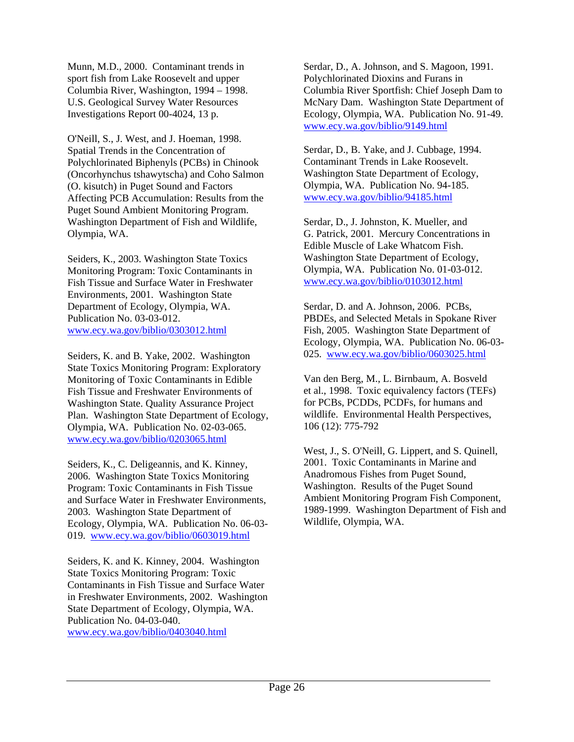Munn, M.D., 2000. Contaminant trends in sport fish from Lake Roosevelt and upper Columbia River, Washington, 1994 – 1998. U.S. Geological Survey Water Resources Investigations Report 00-4024, 13 p.

O'Neill, S., J. West, and J. Hoeman, 1998. Spatial Trends in the Concentration of Polychlorinated Biphenyls (PCBs) in Chinook (Oncorhynchus tshawytscha) and Coho Salmon (O. kisutch) in Puget Sound and Factors Affecting PCB Accumulation: Results from the Puget Sound Ambient Monitoring Program. Washington Department of Fish and Wildlife, Olympia, WA.

Seiders, K., 2003. Washington State Toxics Monitoring Program: Toxic Contaminants in Fish Tissue and Surface Water in Freshwater Environments, 2001. Washington State Department of Ecology, Olympia, WA. Publication No. 03-03-012. [www.ecy.wa.gov/biblio/0303012.html](http://www.ecy.wa.gov/biblio/0303012.html)

Seiders, K. and B. Yake, 2002. Washington 025. [www.ecy.wa.gov/biblio/0603025.html](http://www.ecy.wa.gov/biblio/0603025.html) State Toxics Monitoring Program: Exploratory Monitoring of Toxic Contaminants in Edible Fish Tissue and Freshwater Environments of Washington State. Quality Assurance Project Plan. Washington State Department of Ecology, Olympia, WA. Publication No. 02-03-065. [www.ecy.wa.gov/biblio/0203065.html](http://www.ecy.wa.gov/biblio/0203065.html)

Seiders, K., C. Deligeannis, and K. Kinney, 2006. Washington State Toxics Monitoring Program: Toxic Contaminants in Fish Tissue and Surface Water in Freshwater Environments, 2003. Washington State Department of Ecology, Olympia, WA. Publication No. 06-03- 019. [www.ecy.wa.gov/biblio/0603019.html](http://www.ecy.wa.gov/biblio/0603019.html)

Seiders, K. and K. Kinney, 2004. Washington State Toxics Monitoring Program: Toxic Contaminants in Fish Tissue and Surface Water in Freshwater Environments, 2002. Washington State Department of Ecology, Olympia, WA. Publication No. 04-03-040. [www.ecy.wa.gov/biblio/0403040.html](http://www.ecy.wa.gov/biblio/0403040.html)

Serdar, D., A. Johnson, and S. Magoon, 1991. Polychlorinated Dioxins and Furans in Columbia River Sportfish: Chief Joseph Dam to McNary Dam. Washington State Department of Ecology, Olympia, WA. Publication No. 91-49. [www.ecy.wa.gov/biblio/9149.html](http://www.ecy.wa.gov/biblio/9149.html)

Serdar, D., B. Yake, and J. Cubbage, 1994. Contaminant Trends in Lake Roosevelt. Washington State Department of Ecology, Olympia, WA. Publication No. 94-185. [www.ecy.wa.gov/biblio/94185.html](http://www.ecy.wa.gov/biblio/94185.html)

Serdar, D., J. Johnston, K. Mueller, and G. Patrick, 2001. Mercury Concentrations in Edible Muscle of Lake Whatcom Fish. Washington State Department of Ecology, Olympia, WA. Publication No. 01-03-012. [www.ecy.wa.gov/biblio/0103012.html](http://www.ecy.wa.gov/biblio/0103012.html)

Serdar, D. and A. Johnson, 2006. PCBs, PBDEs, and Selected Metals in Spokane River Fish, 2005. Washington State Department of Ecology, Olympia, WA. Publication No. 06-03-

Van den Berg, M., L. Birnbaum, A. Bosveld et al., 1998. Toxic equivalency factors (TEFs) for PCBs, PCDDs, PCDFs, for humans and wildlife. Environmental Health Perspectives, 106 (12): 775-792

West, J., S. O'Neill, G. Lippert, and S. Quinell, 2001. Toxic Contaminants in Marine and Anadromous Fishes from Puget Sound, Washington. Results of the Puget Sound Ambient Monitoring Program Fish Component, 1989-1999. Washington Department of Fish and Wildlife, Olympia, WA.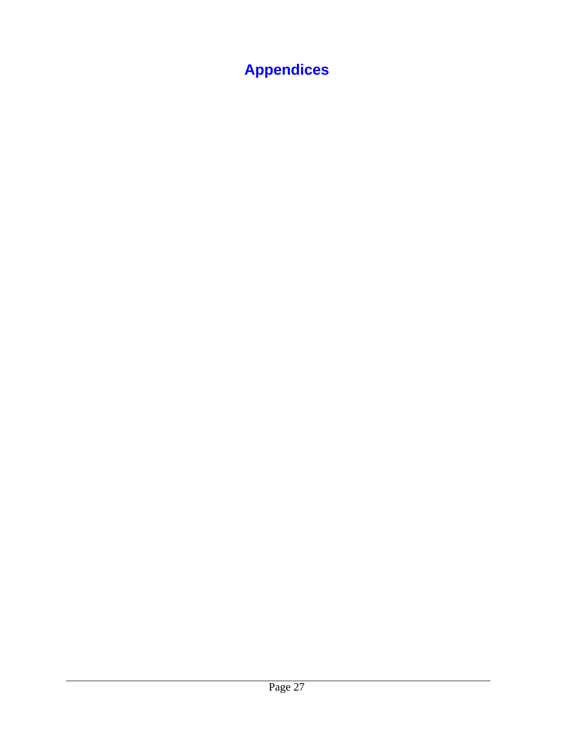# <span id="page-26-0"></span>**Appendices**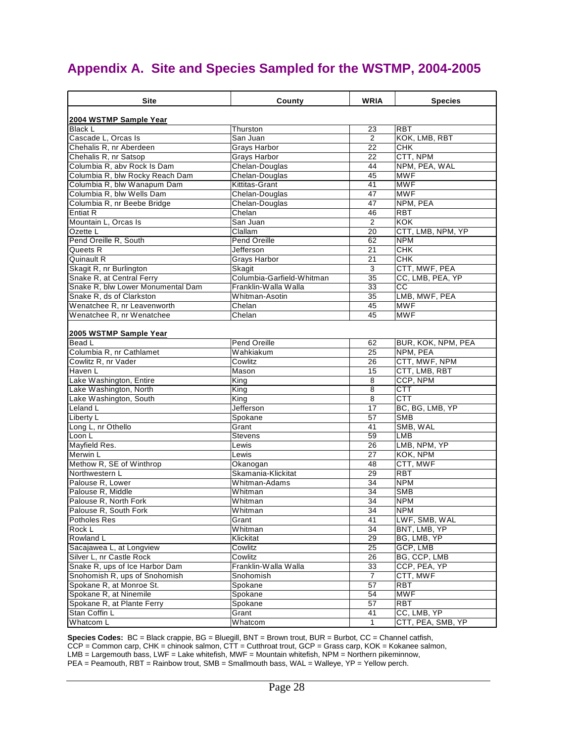## <span id="page-27-0"></span>**Appendix A. Site and Species Sampled for the WSTMP, 2004-2005**

| <b>Site</b>                       | County                    | <b>WRIA</b>    | <b>Species</b>     |  |  |  |  |  |
|-----------------------------------|---------------------------|----------------|--------------------|--|--|--|--|--|
| 2004 WSTMP Sample Year            |                           |                |                    |  |  |  |  |  |
| <b>Black L</b>                    | Thurston                  | 23             | <b>RBT</b>         |  |  |  |  |  |
| Cascade L, Orcas Is               | San Juan                  | $\overline{2}$ | KOK, LMB, RBT      |  |  |  |  |  |
| Chehalis R, nr Aberdeen           | Grays Harbor              | 22             | <b>CHK</b>         |  |  |  |  |  |
| Chehalis R, nr Satsop             | <b>Grays Harbor</b>       | 22             | CTT, NPM           |  |  |  |  |  |
| Columbia R, abv Rock Is Dam       | Chelan-Douglas            | 44             | NPM, PEA, WAL      |  |  |  |  |  |
| Columbia R, blw Rocky Reach Dam   | Chelan-Douglas            | 45             | <b>MWF</b>         |  |  |  |  |  |
| Columbia R, blw Wanapum Dam       | Kittitas-Grant            | 41             | <b>MWF</b>         |  |  |  |  |  |
| Columbia R, blw Wells Dam         | Chelan-Douglas            | 47             | <b>MWF</b>         |  |  |  |  |  |
| Columbia R, nr Beebe Bridge       | Chelan-Douglas            | 47             | NPM, PEA           |  |  |  |  |  |
| Entiat R                          | Chelan                    | 46             | <b>RBT</b>         |  |  |  |  |  |
| Mountain L, Orcas Is              | San Juan                  | $\overline{2}$ | <b>KOK</b>         |  |  |  |  |  |
| Ozette L                          | Clallam                   | 20             | CTT, LMB, NPM, YP  |  |  |  |  |  |
| Pend Oreille R, South             | Pend Oreille              | 62             | <b>NPM</b>         |  |  |  |  |  |
| Queets R                          | Jefferson                 | 21             | <b>CHK</b>         |  |  |  |  |  |
| Quinault R                        | Grays Harbor              | 21             | <b>CHK</b>         |  |  |  |  |  |
| Skagit R, nr Burlington           | Skagit                    | $\overline{3}$ | CTT, MWF, PEA      |  |  |  |  |  |
| Snake R, at Central Ferry         | Columbia-Garfield-Whitman | 35             | CC, LMB, PEA, YP   |  |  |  |  |  |
| Snake R, blw Lower Monumental Dam | Franklin-Walla Walla      | 33             | $\overline{cc}$    |  |  |  |  |  |
| Snake R, ds of Clarkston          | Whitman-Asotin            | 35             | LMB, MWF, PEA      |  |  |  |  |  |
| Wenatchee R, nr Leavenworth       | Chelan                    | 45             | <b>MWF</b>         |  |  |  |  |  |
| Wenatchee R, nr Wenatchee         | Chelan                    | 45             | <b>MWF</b>         |  |  |  |  |  |
| 2005 WSTMP Sample Year            |                           |                |                    |  |  |  |  |  |
| Bead L                            | Pend Oreille              | 62             | BUR, KOK, NPM, PEA |  |  |  |  |  |
| Columbia R, nr Cathlamet          | Wahkiakum                 | 25             | NPM, PEA           |  |  |  |  |  |
| Cowlitz R, nr Vader               | Cowlitz                   | 26             | CTT, MWF, NPM      |  |  |  |  |  |
| Haven L                           | Mason                     | 15             | CTT, LMB, RBT      |  |  |  |  |  |
| Lake Washington, Entire           | King                      | 8              | CCP, NPM           |  |  |  |  |  |
| Lake Washington, North            | King                      | 8              | <b>CTT</b>         |  |  |  |  |  |
| Lake Washington, South            | King                      | $\bf 8$        | <b>CTT</b>         |  |  |  |  |  |
| Leland L                          | Jefferson                 | 17             | BC, BG, LMB, YP    |  |  |  |  |  |
| Liberty L                         | Spokane                   | 57             | <b>SMB</b>         |  |  |  |  |  |
| Long L, nr Othello                | Grant                     | 41             | SMB, WAL           |  |  |  |  |  |
| Loon L                            | Stevens                   | 59             | LMB                |  |  |  |  |  |
| Mayfield Res.                     | Lewis                     | 26             | LMB, NPM, YP       |  |  |  |  |  |
| Merwin L                          | Lewis                     | 27             | KOK, NPM           |  |  |  |  |  |
| Methow R, SE of Winthrop          | Okanogan                  | 48             | CTT, MWF           |  |  |  |  |  |
| Northwestern L                    | Skamania-Klickitat        | 29             | <b>RBT</b>         |  |  |  |  |  |
| Palouse R, Lower                  | Whitman-Adams             | 34             | <b>NPM</b>         |  |  |  |  |  |
| Palouse R, Middle                 | Whitman                   | 34             | <b>SMB</b>         |  |  |  |  |  |
| Palouse R, North Fork             | Whitman                   | 34             | <b>NPM</b>         |  |  |  |  |  |
| Palouse R, South Fork             | Whitman                   | 34             | <b>NPM</b>         |  |  |  |  |  |
| Potholes Res                      | Grant                     | 41             | LWF, SMB, WAL      |  |  |  |  |  |
| Rock L                            | Whitman                   | 34             | BNT, LMB, YP       |  |  |  |  |  |
| Rowland L                         | Klickitat                 | 29             | BG, LMB, YP        |  |  |  |  |  |
| Sacajawea L, at Longview          | Cowlitz                   | 25             | GCP, LMB           |  |  |  |  |  |
| Silver L, nr Castle Rock          | Cowlitz                   | 26             | BG, CCP, LMB       |  |  |  |  |  |
| Snake R, ups of Ice Harbor Dam    | Franklin-Walla Walla      | 33             | CCP, PEA, YP       |  |  |  |  |  |
| Snohomish R, ups of Snohomish     | Snohomish                 | $\overline{7}$ | CTT, MWF           |  |  |  |  |  |
| Spokane R, at Monroe St.          | Spokane                   | 57             | <b>RBT</b>         |  |  |  |  |  |
| Spokane R, at Ninemile            | Spokane                   | 54             | <b>MWF</b>         |  |  |  |  |  |
| Spokane R, at Plante Ferry        | Spokane                   | 57             | <b>RBT</b>         |  |  |  |  |  |
| Stan Coffin L                     | Grant                     | 41             | CC, LMB, YP        |  |  |  |  |  |
| Whatcom L                         | Whatcom                   | $\mathbf{1}$   | CTT, PEA, SMB, YP  |  |  |  |  |  |

**Species Codes:** BC = Black crappie, BG = Bluegill, BNT = Brown trout, BUR = Burbot, CC = Channel catfish,

CCP = Common carp, CHK = chinook salmon, CTT = Cutthroat trout, GCP = Grass carp, KOK = Kokanee salmon,

LMB = Largemouth bass, LWF = Lake whitefish, MWF = Mountain whitefish, NPM = Northern pikeminnow,

PEA = Peamouth, RBT = Rainbow trout, SMB = Smallmouth bass, WAL = Walleye, YP = Yellow perch.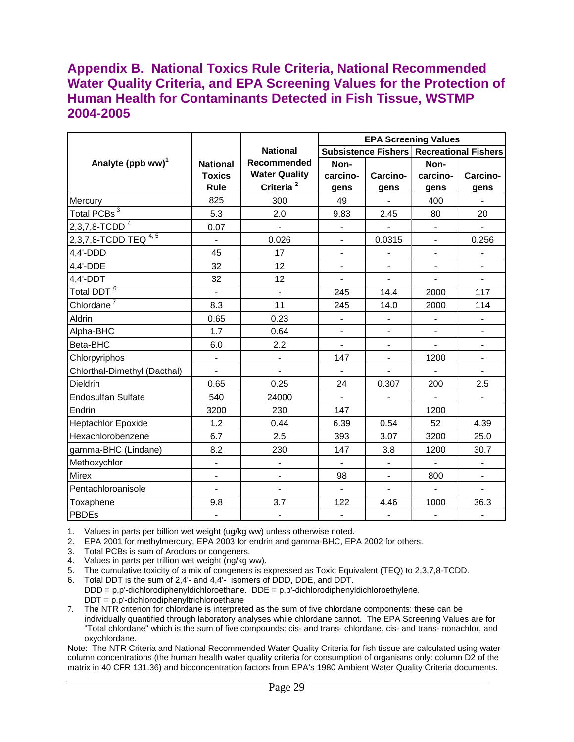### <span id="page-28-0"></span>**Appendix B. National Toxics Rule Criteria, National Recommended Water Quality Criteria, and EPA Screening Values for the Protection of Human Health for Contaminants Detected in Fish Tissue, WSTMP 2004-2005**

|                               |                          |                          |                          | <b>EPA Screening Values</b> |                             |                          |
|-------------------------------|--------------------------|--------------------------|--------------------------|-----------------------------|-----------------------------|--------------------------|
|                               |                          | <b>National</b>          |                          | <b>Subsistence Fishers</b>  | <b>Recreational Fishers</b> |                          |
| Analyte (ppb ww) <sup>1</sup> | <b>National</b>          | Recommended              | Non-                     |                             | Non-                        |                          |
|                               | <b>Toxics</b>            | <b>Water Quality</b>     | carcino-                 | Carcino-                    | carcino-                    | Carcino-                 |
|                               | <b>Rule</b>              | Criteria <sup>2</sup>    | gens                     | gens                        | gens                        | gens                     |
| Mercury                       | 825                      | 300                      | 49                       |                             | 400                         |                          |
| Total PCBs <sup>3</sup>       | 5.3                      | 2.0                      | 9.83                     | 2.45                        | 80                          | 20                       |
| $2,3,7,8$ -TCDD <sup>4</sup>  | 0.07                     |                          | $\overline{\phantom{a}}$ | $\overline{\phantom{a}}$    | $\overline{\phantom{a}}$    | $\blacksquare$           |
| $2,3,7,8$ -TCDD TEQ $4,5$     | $\frac{1}{2}$            | 0.026                    |                          | 0.0315                      | $\overline{\phantom{a}}$    | 0.256                    |
| 4,4'-DDD                      | 45                       | 17                       | $\overline{\phantom{0}}$ | $\blacksquare$              | $\overline{\phantom{a}}$    |                          |
| 4,4'-DDE                      | 32                       | 12                       | $\blacksquare$           |                             | $\blacksquare$              |                          |
| 4,4'-DDT                      | 32                       | 12                       | $\blacksquare$           | $\blacksquare$              | $\overline{\phantom{a}}$    | $\overline{\phantom{a}}$ |
| Total DDT $6$                 |                          | $\overline{\phantom{a}}$ | 245                      | 14.4                        | 2000                        | 117                      |
| Chlordane <sup>7</sup>        | 8.3                      | 11                       | 245                      | 14.0                        | 2000                        | 114                      |
| Aldrin                        | 0.65                     | 0.23                     | $\overline{\phantom{a}}$ |                             |                             |                          |
| Alpha-BHC                     | 1.7                      | 0.64                     | $\blacksquare$           | $\mathbb{Z}^2$              | $\overline{\phantom{a}}$    | $\blacksquare$           |
| Beta-BHC                      | 6.0                      | 2.2                      |                          |                             |                             |                          |
| Chlorpyriphos                 | $\overline{a}$           | $\frac{1}{2}$            | 147                      | $\blacksquare$              | 1200                        | $\overline{\phantom{a}}$ |
| Chlorthal-Dimethyl (Dacthal)  |                          | $\overline{\phantom{0}}$ |                          |                             |                             |                          |
| <b>Dieldrin</b>               | 0.65                     | 0.25                     | 24                       | 0.307                       | 200                         | 2.5                      |
| <b>Endosulfan Sulfate</b>     | 540                      | 24000                    | $\blacksquare$           |                             |                             |                          |
| Endrin                        | 3200                     | 230                      | 147                      |                             | 1200                        |                          |
| <b>Heptachlor Epoxide</b>     | 1.2                      | 0.44                     | 6.39                     | 0.54                        | 52                          | 4.39                     |
| Hexachlorobenzene             | 6.7                      | 2.5                      | 393                      | 3.07                        | 3200                        | 25.0                     |
| gamma-BHC (Lindane)           | 8.2                      | 230                      | 147                      | 3.8                         | 1200                        | 30.7                     |
| Methoxychlor                  | $\frac{1}{2}$            |                          | $\blacksquare$           |                             |                             |                          |
| <b>Mirex</b>                  | $\overline{\phantom{0}}$ | $\overline{\phantom{a}}$ | 98                       | $\blacksquare$              | 800                         | $\blacksquare$           |
| Pentachloroanisole            | $\overline{\phantom{a}}$ |                          | $\blacksquare$           | $\overline{\phantom{a}}$    |                             | $\blacksquare$           |
| Toxaphene                     | 9.8                      | 3.7                      | 122                      | 4.46                        | 1000                        | 36.3                     |
| <b>PBDEs</b>                  | $\overline{a}$           | $\overline{\phantom{a}}$ |                          | $\blacksquare$              |                             |                          |

1. Values in parts per billion wet weight (ug/kg ww) unless otherwise noted.

2. EPA 2001 for methylmercury, EPA 2003 for endrin and gamma-BHC, EPA 2002 for others.

3. Total PCBs is sum of Aroclors or congeners.

4. Values in parts per trillion wet weight (ng/kg ww).

5. The cumulative toxicity of a mix of congeners is expressed as Toxic Equivalent (TEQ) to 2,3,7,8-TCDD.

6. Total DDT is the sum of 2,4'- and 4,4'- isomers of DDD, DDE, and DDT.

 $DDD = p, p'-dichlorodiphenyldichloroethane. \nDDE = p, p'-dichlorodiphenyldichloroethylene.$ DDT = p,p'-dichlorodiphenyltrichloroethane

7. The NTR criterion for chlordane is interpreted as the sum of five chlordane components: these can be individually quantified through laboratory analyses while chlordane cannot. The EPA Screening Values are for "Total chlordane" which is the sum of five compounds: cis- and trans- chlordane, cis- and trans- nonachlor, and oxychlordane.

Note: The NTR Criteria and National Recommended Water Quality Criteria for fish tissue are calculated using water column concentrations (the human health water quality criteria for consumption of organisms only: column D2 of the matrix in 40 CFR 131.36) and bioconcentration factors from EPA's 1980 Ambient Water Quality Criteria documents.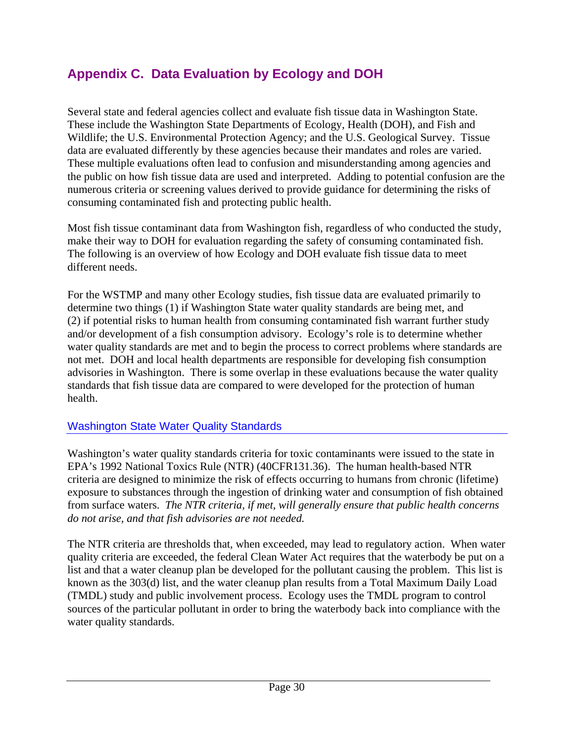# <span id="page-29-0"></span>**Appendix C. Data Evaluation by Ecology and DOH**

Several state and federal agencies collect and evaluate fish tissue data in Washington State. These include the Washington State Departments of Ecology, Health (DOH), and Fish and Wildlife; the U.S. Environmental Protection Agency; and the U.S. Geological Survey. Tissue data are evaluated differently by these agencies because their mandates and roles are varied. These multiple evaluations often lead to confusion and misunderstanding among agencies and the public on how fish tissue data are used and interpreted. Adding to potential confusion are the numerous criteria or screening values derived to provide guidance for determining the risks of consuming contaminated fish and protecting public health.

Most fish tissue contaminant data from Washington fish, regardless of who conducted the study, make their way to DOH for evaluation regarding the safety of consuming contaminated fish. The following is an overview of how Ecology and DOH evaluate fish tissue data to meet different needs.

For the WSTMP and many other Ecology studies, fish tissue data are evaluated primarily to determine two things (1) if Washington State water quality standards are being met, and (2) if potential risks to human health from consuming contaminated fish warrant further study and/or development of a fish consumption advisory. Ecology's role is to determine whether water quality standards are met and to begin the process to correct problems where standards are not met. DOH and local health departments are responsible for developing fish consumption advisories in Washington. There is some overlap in these evaluations because the water quality standards that fish tissue data are compared to were developed for the protection of human health.

#### Washington State Water Quality Standards

Washington's water quality standards criteria for toxic contaminants were issued to the state in EPA's 1992 National Toxics Rule (NTR) (40CFR131.36). The human health-based NTR criteria are designed to minimize the risk of effects occurring to humans from chronic (lifetime) exposure to substances through the ingestion of drinking water and consumption of fish obtained from surface waters. *The NTR criteria, if met, will generally ensure that public health concerns do not arise, and that fish advisories are not needed.* 

The NTR criteria are thresholds that, when exceeded, may lead to regulatory action. When water quality criteria are exceeded, the federal Clean Water Act requires that the waterbody be put on a list and that a water cleanup plan be developed for the pollutant causing the problem. This list is known as the 303(d) list, and the water cleanup plan results from a Total Maximum Daily Load (TMDL) study and public involvement process. Ecology uses the TMDL program to control sources of the particular pollutant in order to bring the waterbody back into compliance with the water quality standards.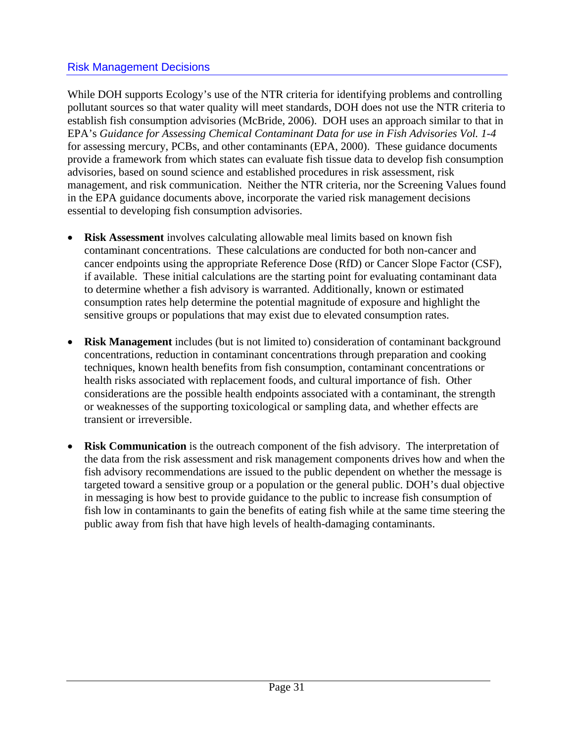### Risk Management Decisions

While DOH supports Ecology's use of the NTR criteria for identifying problems and controlling pollutant sources so that water quality will meet standards, DOH does not use the NTR criteria to establish fish consumption advisories (McBride, 2006). DOH uses an approach similar to that in EPA's *Guidance for Assessing Chemical Contaminant Data for use in Fish Advisories Vol. 1-4*  for assessing mercury, PCBs, and other contaminants (EPA, 2000). These guidance documents provide a framework from which states can evaluate fish tissue data to develop fish consumption advisories, based on sound science and established procedures in risk assessment, risk management, and risk communication. Neither the NTR criteria, nor the Screening Values found in the EPA guidance documents above, incorporate the varied risk management decisions essential to developing fish consumption advisories.

- **Risk Assessment** involves calculating allowable meal limits based on known fish contaminant concentrations. These calculations are conducted for both non-cancer and cancer endpoints using the appropriate Reference Dose (RfD) or Cancer Slope Factor (CSF), if available. These initial calculations are the starting point for evaluating contaminant data to determine whether a fish advisory is warranted. Additionally, known or estimated consumption rates help determine the potential magnitude of exposure and highlight the sensitive groups or populations that may exist due to elevated consumption rates.
- **Risk Management** includes (but is not limited to) consideration of contaminant background concentrations, reduction in contaminant concentrations through preparation and cooking techniques, known health benefits from fish consumption, contaminant concentrations or health risks associated with replacement foods, and cultural importance of fish. Other considerations are the possible health endpoints associated with a contaminant, the strength or weaknesses of the supporting toxicological or sampling data, and whether effects are transient or irreversible.
- **Risk Communication** is the outreach component of the fish advisory. The interpretation of the data from the risk assessment and risk management components drives how and when the fish advisory recommendations are issued to the public dependent on whether the message is targeted toward a sensitive group or a population or the general public. DOH's dual objective in messaging is how best to provide guidance to the public to increase fish consumption of fish low in contaminants to gain the benefits of eating fish while at the same time steering the public away from fish that have high levels of health-damaging contaminants.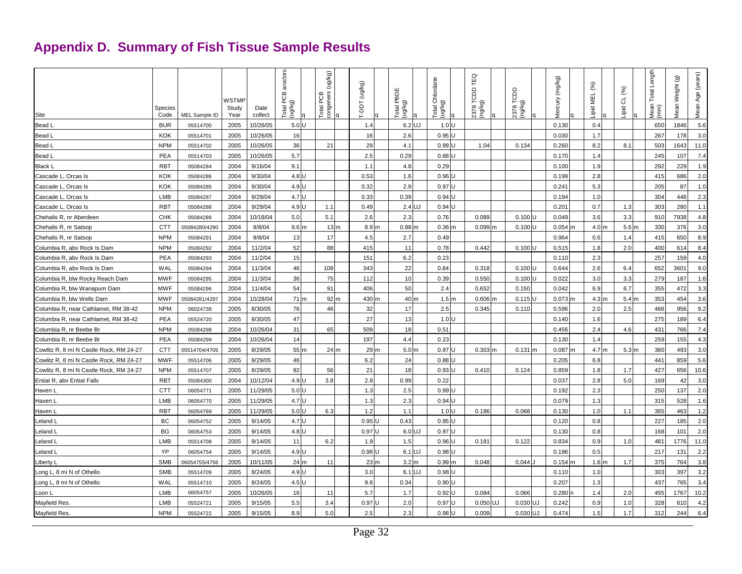# **Appendix D. Summary of Fish Tissue Sample Results**

<span id="page-31-0"></span>

| Site                                    | Species<br>Code | MEL Sample ID | WSTMP<br>Study<br>Year | Date<br>collect | aroclors<br>PCB<br>(ug/kg)<br>Total | $($ ug/kg $)$<br>Total PCB<br>congeners | LDDT (ug/kg)     | otal PBDE<br>(py/bn) |    | otal Chlordane<br>(by/bn) | TEQ<br>TCDD <sup>-</sup><br>12378 Tv<br>(ng/kg) | 2378 TCDD<br>(ng/kg) | Mercury (mg/kg)   | Lipid MEL (%) |                  | CL (%)<br>biq.      | Total Length<br><b>Jean</b><br>$\widehat{E}$ | Mean Weight (g) | Mean Age (years) |
|-----------------------------------------|-----------------|---------------|------------------------|-----------------|-------------------------------------|-----------------------------------------|------------------|----------------------|----|---------------------------|-------------------------------------------------|----------------------|-------------------|---------------|------------------|---------------------|----------------------------------------------|-----------------|------------------|
| Bead L                                  | <b>BUR</b>      | 05514700      | 2005                   | 10/26/05        | $5.0$ U                             |                                         | 1.4              | $6.2$ UJ             |    | $1.0$ U                   |                                                 |                      | 0.130             | 0.4           |                  |                     | 650                                          | 1846            | 5.6              |
| Bead L                                  | <b>KOK</b>      | 05514701      | 2005                   | 10/26/05        | 16                                  |                                         | 16               | 2.6                  |    | $0.95$ U                  |                                                 |                      | 0.030             | 1.7           |                  |                     | 267                                          | 178             | 3.0              |
| Bead L                                  | <b>NPM</b>      | 05514702      | 2005                   | 10/26/05        | 36                                  | 21                                      | 29               | 4.1                  |    | $0.99$ U                  | 1.04                                            | 0.134                | 0.260             | 8.2           |                  | 8.1                 | 503                                          | 1643            | 11.0             |
| Bead L                                  | <b>PEA</b>      | 05514703      | 2005                   | 10/26/05        | 5.7                                 |                                         | 2.5              | 0.29                 |    | $0.88$ U                  |                                                 |                      | 0.170             | 1.4           |                  |                     | 245                                          | 107             | 7.4              |
| <b>Black L</b>                          | <b>RBT</b>      | 05084284      | 2004                   | 9/16/04         | 9.1                                 |                                         | 1.1              | 4.8                  |    | 0.29                      |                                                 |                      | 0.100             | 1.9           |                  |                     | 292                                          | 229             | 1.9              |
| Cascade L, Orcas Is                     | <b>KOK</b>      | 05084286      | 2004                   | 9/30/04         | $4.8$ U                             |                                         | 0.53             | 1.6                  |    | $0.96$ U                  |                                                 |                      | 0.199             | 2.8           |                  |                     | 415                                          | 686             | 2.0              |
| Cascade L, Orcas Is                     | <b>KOK</b>      | 05084285      | 2004                   | 9/30/04         | $4.9$ U                             |                                         | 0.32             | 2.9                  |    | $0.97$ U                  |                                                 |                      | 0.241             | 5.3           |                  |                     | 205                                          | 87              | 1.0              |
| Cascade L, Orcas Is                     | LMB             | 05084287      | 2004                   | 9/29/04         | $4.7$ U                             |                                         | 0.33             | 0.39                 |    | $0.94$ U                  |                                                 |                      | 0.194             | 1.0           |                  |                     | 304                                          | 448             | 2.3              |
| Cascade L, Orcas Is                     | <b>RBT</b>      | 05084288      | 2004                   | 9/29/04         | $4.9$ U                             | 1.1                                     | 0.49             | 2.4                  | UJ | $0.94$ U                  |                                                 |                      | 0.201             | 0.7           |                  | 1.3                 | 303                                          | 280             | 1.1              |
| Chehalis R, nr Aberdeen                 | <b>CHK</b>      | 05084289      | 2004                   | 10/18/04        | 5.0                                 | 5.1                                     | 2.6              | 2.3                  |    | 0.76                      | 0.089                                           | $0.100$ U            | 0.049             | 3.6           |                  | 3.3                 | 910                                          | 7938            | 4.8              |
| Chehalis R, nr Satsop                   | <b>CTT</b>      | 05084280/4290 | 2004                   | 9/8/04          | $9.6 \, \text{m}$                   | $13 \mid m$                             | 8.9 <sub>m</sub> | 0.88                 |    | $0.36 \, \rm{m}$          | $0.099$ m                                       | $0.100$ U            | $0.054$ m         |               | 4.0 <sub>m</sub> | $5.6 \, \mathrm{m}$ | 330                                          | 376             | 3.0              |
| Chehalis R, nr Satsop                   | <b>NPM</b>      | 05084291      | 2004                   | 9/8/04          | 13                                  | 17                                      | 4.5              | 2.7                  |    | 0.49                      |                                                 |                      | 0.964             | 0.6           |                  | 1.4                 | 415                                          | 650             | 8.9              |
| Columbia R, abv Rock Is Dam             | <b>NPM</b>      | 05084292      | 2004                   | 11/2/04         | 52                                  | 88                                      | 415              | 11                   |    | 0.78                      | 0.442                                           | $0.100$ U            | 0.515             | 1.8           |                  | 2.0                 | 400                                          | 614             | 8.4              |
| Columbia R, abv Rock Is Dam             | PEA             | 05084293      | 2004                   | 11/2/04         | 15                                  |                                         | 151              | 6.2                  |    | 0.23                      |                                                 |                      | 0.110             | 2.3           |                  |                     | 257                                          | 159             | 4.0              |
| Columbia R, abv Rock Is Dam             | <b>WAL</b>      | 05084294      | 2004                   | 11/3/04         | 46                                  | 108                                     | 343              | 22                   |    | 0.84                      | 0.318                                           | $0.100$ U            | 0.644             | 2.6           |                  | 6.4                 | 652                                          | 3601            | 9.0              |
| Columbia R, blw Rocky Reach Dam         | <b>MWF</b>      | 05084295      | 2004                   | 11/3/04         | 36                                  | 75                                      | 112              | 10                   |    | 0.39                      | 0.550                                           | $0.100$ U            | 0.022             | 3.0           |                  | 3.3                 | 279                                          | 187             | 1.6              |
| Columbia R, blw Wanapum Dam             | <b>MWF</b>      | 05084296      | 2004                   | 11/4/04         | 54                                  | 91                                      | 406              | 50                   |    | 2.4                       | 0.652                                           | 0.150                | 0.042             | 6.9           |                  | 6.7                 | 355                                          | 472             | 3.3              |
| Columbia R, blw Wells Dam               | <b>MWF</b>      | 05084281/4297 | 2004                   | 10/28/04        | $71 \text{ m}$                      | $92 \, \mathrm{m}$                      | 430 m            | 40                   |    | $1.5 \text{ m}$           | $0.606 \, \rm{m}$                               | $0.115$ U            | $0.073 \, \rm{m}$ |               | 4.3 <sub>m</sub> | 5.4 <sub>cm</sub>   | 353                                          | 454             | 3.6              |
| Columbia R, near Cathlamet, RM 38-42    | <b>NPM</b>      | 06024738      | 2005                   | 8/30/05         | 76                                  | 46                                      | 32               | 17                   |    | 2.5                       | 0.345                                           | 0.110                | 0.596             | 2.0           |                  | 2.5                 | 466                                          | 956             | 9.2              |
| Columbia R, near Cathlamet, RM 38-42    | <b>PEA</b>      | 05524720      | 2005                   | 8/30/05         | 47                                  |                                         | 27               | 13                   |    | $1.0$ U                   |                                                 |                      | 0.140             | 1.6           |                  |                     | 275                                          | 189             | 6.4              |
| Columbia R, nr Beebe Br                 | <b>NPM</b>      | 05084298      | 2004                   | 10/26/04        | 31                                  | 65                                      | 509              | 18                   |    | 0.51                      |                                                 |                      | 0.456             | 2.4           |                  | 4.6                 | 431                                          | 766             | 7.4              |
| Columbia R, nr Beebe Br                 | <b>PEA</b>      | 05084299      | 2004                   | 10/26/04        | 14                                  |                                         | 197              | 4.4                  |    | 0.23                      |                                                 |                      | 0.130             | 1.4           |                  |                     | 259                                          | 155             | 4.3              |
| Cowlitz R, 8 mi N Castle Rock, RM 24-27 | <b>CTT</b>      | 05514704/4705 | 2005                   | 8/29/05         | $55\rm{m}$                          | $24 \, \mathrm{m}$                      | 29 <sub>m</sub>  | 5.0                  |    | $0.97$ U                  | $0.303 \, \text{m}$                             | $0.131$ m            | $0.087$ m         |               | 4.7 m            | $5.3 \text{ m}$     | 360                                          | 493             | 3.0              |
| Cowlitz R. 8 mi N Castle Rock, RM 24-27 | <b>MWF</b>      | 05514706      | 2005                   | 8/29/05         | 46                                  |                                         | 6.2              | 24                   |    | $0.88$ U                  |                                                 |                      | 0.205             | 6.8           |                  |                     | 441                                          | 859             | 5.6              |
| Cowlitz R, 8 mi N Castle Rock, RM 24-27 | <b>NPM</b>      | 05514707      | 2005                   | 8/29/05         | 92                                  | 56                                      | 21               | 18                   |    | $0.93$ U                  | 0.410                                           | 0.124                | 0.859             | 1.8           |                  | 1.7                 | 427                                          | 656             | 10.6             |
| Entiat R, abv Entiat Falls              | <b>RBT</b>      | 05084300      | 2004                   | 10/12/04        | $4.9$ U                             | 3.8                                     | 2.8              | 0.99                 |    | 0.22                      |                                                 |                      | 0.037             | 2.8           |                  | 5.0                 | 169                                          | 42              | 3.0              |
| Haven L                                 | <b>CTT</b>      | 06054771      | 2005                   | 11/29/05        | $5.0$ U                             |                                         | 1.3              | 2.5                  |    | $0.99$ U                  |                                                 |                      | 0.192             | 2.3           |                  |                     | 250                                          | 137             | 2.0              |
| Haven L                                 | LMB             | 06054770      | 2005                   | 11/29/05        | $4.7$ U                             |                                         | 1.3              | 2.3                  |    | $0.94$ U                  |                                                 |                      | 0.079             | 1.3           |                  |                     | 315                                          | 528             | 1.6              |
| Haven L                                 | <b>RBT</b>      | 06054769      | 2005                   | 11/29/05        | $5.0$ U                             | 6.3                                     | 1.2              | 1.1                  |    | $1.0$ U                   | 0.186                                           | 0.068                | 0.130             | 1.0           |                  | 1.1                 | 365                                          | 463             | 1.2              |
| Leland L                                | <b>BC</b>       | 06054752      | 2005                   | 9/14/05         | $4.7$ U                             |                                         | $0.95$ U         | 0.43                 |    | $0.95$ U                  |                                                 |                      | 0.120             | 0.8           |                  |                     | 227                                          | 185             | 2.0              |
| Leland L                                | <b>BG</b>       | 06054753      | 2005                   | 9/14/05         | $4.8$ U                             |                                         | $0.97$ U         | 6.0                  | UJ | $0.97$ U                  |                                                 |                      | 0.130             | 0.8           |                  |                     | 168                                          | 101             | 2.0              |
| Leland L                                | LMB             | 05514708      | 2005                   | 9/14/05         | 11                                  | 6.2                                     | 1.9              | 1.5                  |    | $0.96$ U                  | 0.181                                           | 0.122                | 0.834             | 0.9           |                  | 1.0                 | 481                                          | 1776            | 11.0             |
| Leland L                                | YP              | 06054754      | 2005                   | 9/14/05         | $4.9$ U                             |                                         | 0.98U            | $6.1$ UJ             |    | $0.98$ U                  |                                                 |                      | 0.196             | 0.5           |                  |                     | 217                                          | 131             | 2.2              |
| Liberty L                               | <b>SMB</b>      | 06054755/4756 | 2005                   | 10/11/05        | $24 \, \mathrm{m}$                  | 11                                      | 23 <sub>m</sub>  | 3.2                  | m  | $0.99$ m                  | 0.048                                           | 0.044                | $0.154 \, \rm{m}$ |               | 1.6 <sub>m</sub> | 1.7                 | 375                                          | 764             | 3.8              |
| Long L, 8 mi N of Othello               | <b>SMB</b>      | 05514709      | 2005                   | 8/24/05         | $4.9$ U                             |                                         | 3.0              | $6.1$ UJ             |    | $0.98$ U                  |                                                 |                      | 0.110             | 1.0           |                  |                     | 303                                          | 397             | 3.2              |
| Long L, 8 mi N of Othello               | WAL             | 05514710      | 2005                   | 8/24/05         | $4.5$ U                             |                                         | 9.6              | 0.34                 |    | $0.90$ U                  |                                                 |                      | 0.207             | 1.3           |                  |                     | 437                                          | 765             | 3.4              |
| Loon L                                  | LMB             | 06054757      | 2005                   | 10/26/05        | 16                                  | 11                                      | 5.7              | 1.7                  |    | $0.92$ U                  | 0.084                                           | 0.066                | 0.280             | 1.4           |                  | 2.0                 | 455                                          | 1767            | 10.2             |
| Mayfield Res.                           | LMB             | 05524721      | 2005                   | 9/15/05         | 5.5                                 | 3.4                                     | $0.97$ U         | 2.0                  |    | $0.97$ U                  | $0.050$ UJ                                      | $0.030$ UJ           | 0.242             | 0.9           |                  | 1.0                 | 328                                          | 610             | 4.2              |
| Mayfield Res.                           | <b>NPM</b>      | 05524722      | 2005                   | 9/15/05         | 8.9                                 | 5.0                                     | 2.5              | 2.3                  |    | $0.98$ U                  | 0.009                                           | $0.030$ UJ           | 0.474             | 1.5           |                  | 1.7                 | 312                                          | 244             | 6.4              |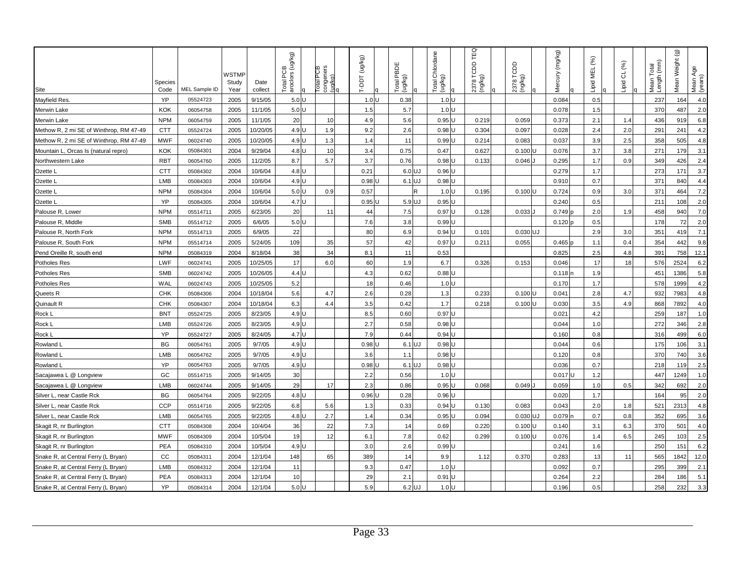|                                         |            |               |       |          |                  |                                                       |          |                       |                  | TEQ                  |                      |                 |               |                |            |            |                 |                     |
|-----------------------------------------|------------|---------------|-------|----------|------------------|-------------------------------------------------------|----------|-----------------------|------------------|----------------------|----------------------|-----------------|---------------|----------------|------------|------------|-----------------|---------------------|
|                                         |            |               |       |          | aroclors (ug/kg) |                                                       | (0.90)   |                       | Total Chlordane  |                      |                      | Mercury (mg/kg) |               | (%)            |            |            | Mean Weight (g) |                     |
|                                         |            |               | WSTMP |          |                  |                                                       |          |                       |                  |                      |                      |                 |               | $\overline{d}$ |            |            |                 |                     |
|                                         | Species    |               | Study | Date     | Total PCB        | Total PCB<br>congeners<br><u>(uo/kɑ</u> )<br><u>o</u> | $T-DDT$  | Total PBDE<br>(ug/kg) | (hy/bn)          | 2378 TCDD<br>(ng/kg) | 2378 TCDD<br>(ng/kg) |                 | Lipid MEL (%) | Lipid          | Mean Total | ength (mm) |                 | Mean Age<br>(years) |
| Site                                    | Code       | MEL Sample ID | Year  | collect  |                  |                                                       |          |                       |                  |                      |                      |                 |               | la             |            |            |                 |                     |
| Mayfield Res.                           | YP         | 05524723      | 2005  | 9/15/05  | $5.0$ U          |                                                       | 1.0 U    | 0.38                  | 1.0              |                      |                      | 0.084           | 0.5           |                |            | 237        | 164             | 4.0                 |
| <b>Merwin Lake</b>                      | <b>KOK</b> | 06054758      | 2005  | 11/1/05  | $5.0$ U          |                                                       | 1.5      | 5.7                   | 1.0              |                      |                      | 0.078           | 1.5           |                |            | 370        | 487             | 2.0                 |
| Merwin Lake                             | <b>NPM</b> | 06054759      | 2005  | 11/1/05  | 20               | 10 <sup>1</sup>                                       | 4.9      | 5.6                   | 0.95             | 0.219                | 0.059                | 0.373           | 2.1           | 1.4            |            | 436        | 919             | 6.8                 |
| Methow R, 2 mi SE of Winthrop, RM 47-49 | <b>CTT</b> | 05524724      | 2005  | 10/20/05 | $4.9$ U          | 1.9                                                   | 9.2      | 2.6                   | $0.98$ U         | 0.304                | 0.097                | 0.028           | 2.4           | 2.0            |            | 291        | 241             | 4.2                 |
| Methow R, 2 mi SE of Winthrop, RM 47-49 | <b>MWF</b> | 06024740      | 2005  | 10/20/05 | $4.9$ U          | 1.3                                                   | 1.4      | 11                    | $0.99$ U         | 0.214                | 0.083                | 0.037           | 3.9           | 2.5            |            | 358        | 505             | 4.8                 |
| Mountain L, Orcas Is (natural repro)    | <b>KOK</b> | 05084301      | 2004  | 9/29/04  | $4.8$ U          | 10 <sup>1</sup>                                       | 3.4      | 0.75                  | 0.47             | 0.627                | $0.100$ U            | 0.076           | 3.7           | 3.8            |            | 271        | 179             | 3.1                 |
| Northwestern Lake                       | <b>RBT</b> | 06054760      | 2005  | 11/2/05  | 8.7              | 5.7                                                   | 3.7      | 0.76                  | $0.98$ U         | 0.133                | $0.046$ J            | 0.295           | 1.7           | 0.9            |            | 349        | 426             | 2.4                 |
| Ozette L                                | <b>CTT</b> | 05084302      | 2004  | 10/6/04  | $4.8$ U          |                                                       | 0.21     | $6.0$ UJ              | $0.96$ U         |                      |                      | 0.279           | 1.7           |                |            | 273        | 171             | 3.7                 |
| Ozette L                                | LMB        | 05084303      | 2004  | 10/6/04  | $4.9$ U          |                                                       | $0.98$ U | $6.1$ UJ              | $0.98$ U         |                      |                      | 0.910           | 0.7           |                |            | 371        | 840             | 4.4                 |
| Ozette L                                | <b>NPM</b> | 05084304      | 2004  | 10/6/04  | $5.0$ U          | 0.9                                                   | 0.57     | R                     | $1.0$ U          | 0.195                | $0.100$ U            | 0.724           | 0.9           | 3.0            |            | 371        | 464             | 7.2                 |
| Ozette L                                | YP         | 05084305      | 2004  | 10/6/04  | $4.7$ U          |                                                       | $0.95$ U | $5.9$ UJ              | $0.95$ U         |                      |                      | 0.240           | 0.5           |                |            | 211        | 108             | 2.0                 |
| Palouse R, Lower                        | <b>NPM</b> | 05514711      | 2005  | 6/23/05  | 20               | 11                                                    | 44       | 7.5                   | $0.97$ U         | 0.128                | 0.033                | 0.749 p         | 2.0           | 1.9            |            | 458        | 940             | 7.0                 |
| Palouse R, Middle                       | <b>SMB</b> | 05514712      | 2005  | 6/6/05   | $5.0$ U          |                                                       | 7.6      | 3.8                   | $0.99$ U         |                      |                      | 0.120 p         | 0.5           |                |            | 178        | 72              | 2.0                 |
| Palouse R, North Fork                   | <b>NPM</b> | 05514713      | 2005  | 6/9/05   | 22               |                                                       | 80       | 6.9                   | $0.94$ U         | 0.101                | $0.030$ UJ           |                 | 2.9           | 3.0            |            | 351        | 419             | 7.1                 |
| Palouse R, South Fork                   | <b>NPM</b> | 05514714      | 2005  | 5/24/05  | 109              | 35                                                    | 57       | 42                    | $0.97$ U         | 0.211                | 0.055                | 0.465 p         | 1.1           | 0.4            |            | 354        | 442             | 9.8                 |
| Pend Oreille R, south end               | <b>NPM</b> | 05084319      | 2004  | 8/18/04  | 38               | 34                                                    | 8.1      | 11                    | 0.53             |                      |                      | 0.825           | 2.5           | 4.8            |            | 391        | 758             | 12.1                |
| <b>Potholes Res</b>                     | <b>LWF</b> | 06024741      | 2005  | 10/25/05 | 17               | 6.0                                                   | 60       | 1.9                   | 6.7              | 0.326                | 0.153                | 0.046           | 17            | 18             |            | 576        | 2524            | 6.2                 |
| <b>Potholes Res</b>                     | <b>SMB</b> | 06024742      | 2005  | 10/26/05 | $4.4$ U          |                                                       | 4.3      | 0.62                  | $0.88$ U         |                      |                      | 0.118 n         | 1.9           |                |            | 451        | 1386            | 5.8                 |
| <b>Potholes Res</b>                     | <b>WAL</b> | 06024743      | 2005  | 10/25/05 | 5.2              |                                                       | 18       | 0.46                  | $1.0$ U          |                      |                      | 0.170           | 1.7           |                |            | 578        | 1999            | 4.2                 |
| Queets R                                | <b>CHK</b> | 05084306      | 2004  | 10/18/04 | 5.6              | 4.7                                                   | 2.6      | 0.28                  | 1.3              | 0.233                | $0.100$ U            | 0.041           | 2.8           | 4.7            |            | 932        | 7983            | 4.8                 |
| Quinault R                              | CHK        | 05084307      | 2004  | 10/18/04 | 6.3              | 4.4                                                   | 3.5      | 0.42                  | 1.7              | 0.218                | $0.100$ U            | 0.030           | 3.5           | 4.9            |            | 868        | 7892            | 4.0                 |
| Rock L                                  | <b>BNT</b> | 05524725      | 2005  | 8/23/05  | $4.9$ U          |                                                       | 8.5      | 0.60                  | 0.97             |                      |                      | 0.021           | 4.2           |                |            | 259        | 187             | 1.0                 |
| Rock L                                  | LMB        | 05524726      | 2005  | 8/23/05  | $4.9$ U          |                                                       | 2.7      | 0.58                  | 0.98             |                      |                      | 0.044           | 1.0           |                |            | 272        | 346             | 2.8                 |
| Rock L                                  | YP         | 05524727      | 2005  | 8/24/05  | $4.7$ U          |                                                       | 7.9      | 0.44                  | 0.94             |                      |                      | 0.160           | 0.8           |                |            | 316        | 499             | 6.0                 |
| Rowland I                               | BG         | 06054761      | 2005  | 9/7/05   | $4.9$ U          |                                                       | $0.98$ U | $6.1$ UJ              | $0.98$ U         |                      |                      | 0.044           | 0.6           |                |            | 175        | 106             | 3.1                 |
| Rowland L                               | LMB        | 06054762      | 2005  | 9/7/05   | $4.9$ U          |                                                       | 3.6      | 1.1                   | $0.98$ U         |                      |                      | 0.120           | 0.8           |                |            | 370        | 740             | 3.6                 |
| Rowland L                               | YP         | 06054763      | 2005  | 9/7/05   | $4.9$ U          |                                                       | $0.98$ U | $6.1$ UJ              | $0.98$ U         |                      |                      | 0.036           | 0.7           |                |            | 218        | 119             | 2.5                 |
| Sacajawea L @ Longview                  | GC         | 05514715      | 2005  | 9/14/05  | 30               |                                                       | 2.2      | 0.56                  | $1.0$ U          |                      |                      | $0.017$ U       | 1.2           |                |            | 447        | 1249            | 1.0                 |
| Sacajawea L @ Longview                  | LMB        | 06024744      | 2005  | 9/14/05  | 29               | 17                                                    | 2.3      | 0.86                  | $0.95$ U         | 0.068                | 0.049                | 0.059           | 1.0           | 0.5            |            | 342        | 692             | 2.0                 |
| Silver L, near Castle Rck               | BG         | 06054764      | 2005  | 9/22/05  | $4.8$ U          |                                                       | $0.96$ U | 0.28                  | $0.96$ U         |                      |                      | 0.020           | 1.7           |                |            | 164        | 95              | 2.0                 |
| Silver L, near Castle Rck               | <b>CCP</b> | 05514716      | 2005  | 9/22/05  | 6.8              | 5.6                                                   | 1.3      | 0.33                  | 0.94             | 0.130                | 0.083                | 0.043           | 2.0           | 1.8            |            | 521        | 2313            | 4.8                 |
| Silver L, near Castle Rck               | LMB        | 06054765      | 2005  | 9/22/05  | $4.8$ U          | 2.7                                                   | 1.4      | 0.34                  | 0.95             | 0.094                | $0.030$ UJ           | 0.079 n         | 0.7           | 0.8            |            | 352        | 695             | 3.6                 |
| Skagit R, nr Burlington                 | <b>CTT</b> | 05084308      | 2004  | 10/4/04  | 36               | 22                                                    | 7.3      | 14                    | 0.69             | 0.220                | $0.100$ U            | 0.140           | 3.1           | 6.3            |            | 370        | 501             | 4.0                 |
| Skagit R, nr Burlington                 | <b>MWF</b> | 05084309      | 2004  | 10/5/04  | 19               | 12                                                    | 6.1      | 7.8                   | 0.62             | 0.299                | $0.100$ U            | 0.076           | 1.4           | 6.5            |            | 245        | 103             | 2.5                 |
| Skagit R, nr Burlington                 | PEA        | 05084310      | 2004  | 10/5/04  | $4.9$ U          |                                                       | 3.0      | 2.6                   | 0.99             |                      |                      | 0.241           | 1.6           |                |            | 250        | 151             | 6.2                 |
| Snake R, at Central Ferry (L Bryan)     | CC         | 05084311      | 2004  | 12/1/04  | 148              | 65                                                    | 389      | 14                    | 9.9              | 1.12                 | 0.370                | 0.283           | 13            | 11             |            | 565        | 1842            | 12.0                |
| Snake R, at Central Ferry (L Bryan)     | LMB        | 05084312      | 2004  | 12/1/04  | 11               |                                                       | 9.3      | 0.47                  | $1.0$ U          |                      |                      | 0.092           | 0.7           |                |            | 295        | 399             | 2.1                 |
| Snake R, at Central Ferry (L Bryan)     | PEA        | 05084313      | 2004  | 12/1/04  | 10               |                                                       | 29       | 2.1                   | 0.91             |                      |                      | 0.264           | 2.2           |                |            | 284        | 186             | 5.1                 |
| Snake R, at Central Ferry (L Bryan)     | YP         | 05084314      | 2004  | 12/1/04  | 5.0 <sub>U</sub> |                                                       | 5.9      | $6.2$ UJ              | 1.0 <sub>U</sub> |                      |                      | 0.196           | 0.5           |                |            | 258        | 232             | 3.3                 |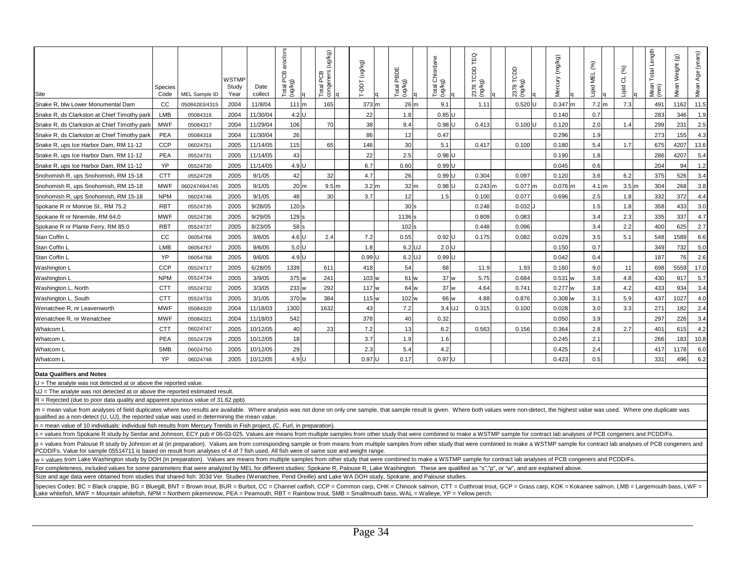|                                                                                                                                                                                                                                                                                                                                                                         |                                                                                                                           |               |                               |                 | aroclors            | (nq/kg)                |                   | DDT (ug/kg)     |                      | Chlordane              | TEQ<br>TCDD       | TCDD            | (mg/kg)            | (%)<br><b>MEL</b> |                 | (%)              | Length<br>Total |     | Mean Age (years)<br>Mean Weight (g) |
|-------------------------------------------------------------------------------------------------------------------------------------------------------------------------------------------------------------------------------------------------------------------------------------------------------------------------------------------------------------------------|---------------------------------------------------------------------------------------------------------------------------|---------------|-------------------------------|-----------------|---------------------|------------------------|-------------------|-----------------|----------------------|------------------------|-------------------|-----------------|--------------------|-------------------|-----------------|------------------|-----------------|-----|-------------------------------------|
| Site                                                                                                                                                                                                                                                                                                                                                                    | Species<br>Code                                                                                                           | MEL Sample ID | <b>WSTMP</b><br>Study<br>Year | Date<br>collect | otal PCB<br>(ug/kg) | Total PCB<br>congeners |                   |                 | otal PBDE<br>(ug/kg) | (ug/kg)<br><b>lepo</b> | (ng/kg)<br>2378   | (ng/kg)<br>2378 | <b>Mercury</b>     | piq               |                 | ರ<br>Lipid       | <b>Jean</b>     | (mm |                                     |
| Snake R, blw Lower Monumental Dam                                                                                                                                                                                                                                                                                                                                       | cc                                                                                                                        | 05084283/4315 | 2004                          | 11/8/04         | $111 \text{ m}$     | 165                    |                   | 373 m           | $26 \mid m$          | 9.1                    | 1.11              | 0.520           | $0.347 \, \rm{m}$  | $7.2 \text{ m}$   |                 | 7.3              |                 | 491 | 11.5<br>1162                        |
| Snake R, ds Clarkston at Chief Timothy park                                                                                                                                                                                                                                                                                                                             | LMB                                                                                                                       | 05084316      | 2004                          | 11/30/04        | $4.2$ U             |                        |                   | 22              | 1.8                  | $0.85$ U               |                   |                 | 0.140              | 0.7               |                 |                  |                 | 283 | 346<br>1.9                          |
| Snake R, ds Clarkston at Chief Timothy park                                                                                                                                                                                                                                                                                                                             | <b>MWF</b>                                                                                                                | 05084317      | 2004                          | 11/29/04        | 106                 |                        | 70                | 38              | 9.4                  | 0.98                   | 0.413             | $0.100$ U       | 0.120              | 2.0               |                 | 1.4              |                 | 299 | 2.5<br>231                          |
| Snake R, ds Clarkston at Chief Timothy park                                                                                                                                                                                                                                                                                                                             | <b>PEA</b>                                                                                                                | 05084318      | 2004                          | 11/30/04        | 26                  |                        |                   | 86              | 12                   | 0.47                   |                   |                 | 0.296              | 1.9               |                 |                  |                 | 273 | 155<br>4.3                          |
| Snake R, ups Ice Harbor Dam, RM 11-12                                                                                                                                                                                                                                                                                                                                   | CCP                                                                                                                       | 06024751      | 2005                          | 11/14/05        | 115                 |                        | 65                | 146             | 30                   | 5.1                    | 0.417             | 0.100           | 0.180              | 5.4               |                 | 1.7              |                 | 675 | 4207<br>13.6                        |
| Snake R, ups Ice Harbor Dam, RM 11-12                                                                                                                                                                                                                                                                                                                                   | PEA                                                                                                                       | 05524731      | 2005                          | 11/14/05        | 43                  |                        |                   | 22              | 2.5                  | $0.98$ U               |                   |                 | 0.190              | 1.8               |                 |                  |                 | 286 | 5.4<br>4207                         |
| Snake R, ups Ice Harbor Dam, RM 11-12                                                                                                                                                                                                                                                                                                                                   | YP                                                                                                                        | 05524730      | 2005                          | 11/14/05        | $4.9$ U             |                        |                   | 6.7             | 0.60                 | $0.99$ U               |                   |                 | 0.045              | 0.6               |                 |                  |                 | 204 | 94<br>1.2                           |
| Snohomish R, ups Snohomish, RM 15-18                                                                                                                                                                                                                                                                                                                                    | <b>CTT</b>                                                                                                                | 05524728      | 2005                          | 9/1/05          | 42                  |                        | 32                | 4.7             | 26                   | 0.99                   | 0.304             | 0.097           | 0.120              | 3.6               |                 | 6.2              |                 | 375 | 526<br>3.4                          |
| Snohomish R, ups Snohomish, RM 15-18                                                                                                                                                                                                                                                                                                                                    | <b>MWF</b>                                                                                                                | 06024749/4745 | 2005                          | 9/1/05          | $20 \, \text{m}$    |                        | $9.5 \, \text{m}$ | $3.2 \text{ m}$ | 32 <sub>m</sub>      | $0.98$ U               | $0.243 \, \rm{m}$ | $0.077$ m       | $0.076$ m          |                   | $4.1 \text{ m}$ | 3.5 <sub>m</sub> |                 | 304 | 3.8<br>268                          |
| Snohomish R, ups Snohomish, RM 15-18                                                                                                                                                                                                                                                                                                                                    | <b>NPM</b>                                                                                                                | 06024746      | 2005                          | 9/1/05          | 48                  |                        | 30                | 3.7             | 12                   | 1.5                    | 0.100             | 0.077           | 0.696              | 2.5               |                 | 1.8              |                 | 332 | 372<br>4.4                          |
| Spokane R nr Monroe St., RM 75.2                                                                                                                                                                                                                                                                                                                                        | <b>RBT</b>                                                                                                                | 05524735      | 2005                          | 9/28/05         | $120$ s             |                        |                   |                 | $30$ s               |                        | 0.248             | 0.032           |                    | 1.5               |                 | 1.8              |                 | 358 | 433<br>3.0                          |
| Spokane R nr Ninemile, RM 64.0                                                                                                                                                                                                                                                                                                                                          | <b>MWF</b>                                                                                                                | 05524736      | 2005                          | 9/29/05         | $129$ s             |                        |                   |                 | $1136$ s             |                        | 0.809             | 0.083           |                    | 3.4               |                 | 2.3              |                 | 335 | 337<br>4.7                          |
| Spokane R nr Plante Ferry, RM 85.0                                                                                                                                                                                                                                                                                                                                      | <b>RBT</b>                                                                                                                | 05524737      | 2005                          | 8/23/05         | $58$ s              |                        |                   |                 | $102$ s              |                        | 0.448             | 0.096           |                    | 3.4               |                 | 2.2              |                 | 400 | 625<br>2.7                          |
| Stan Coffin L                                                                                                                                                                                                                                                                                                                                                           | CC                                                                                                                        | 06054766      | 2005                          | 9/6/05          | $4.6$ U             | 2.4                    |                   | 7.2             | 0.55                 | $0.92$ U               | 0.175             | 0.082           | 0.029              | 3.5               |                 | 5.1              |                 | 548 | 1589<br>6.6                         |
| Stan Coffin L                                                                                                                                                                                                                                                                                                                                                           | LMB                                                                                                                       | 06054767      | 2005                          | 9/6/05          | $5.0$ U             |                        |                   | 1.8             | $6.2$ UJ             | $2.0$ U                |                   |                 | 0.150              | 0.7               |                 |                  |                 | 349 | 732<br>5.0                          |
| Stan Coffin L                                                                                                                                                                                                                                                                                                                                                           | YP                                                                                                                        | 06054768      | 2005                          | 9/6/05          | $4.9$ U             |                        |                   | $0.99$ U        | $6.2$ UJ             | $0.99$ U               |                   |                 | 0.042              | 0.4               |                 |                  |                 | 187 | 76<br>2.6                           |
| Washington L                                                                                                                                                                                                                                                                                                                                                            | <b>CCP</b>                                                                                                                | 05524717      | 2005                          | 6/28/05         | 1339                | 611                    |                   | 418             | 54                   | 68                     | 11.9              | 1.93            | 0.160              | 9.0               |                 | 11               |                 | 698 | 17.0<br>5559                        |
| Washington L                                                                                                                                                                                                                                                                                                                                                            | <b>NPM</b>                                                                                                                | 05524734      | 2005                          | 3/9/05          | 375w                | 241                    |                   | 103w            | $61 \text{lw}$       | 37w                    | 5.75              | 0.684           | $0.531$ w          | 3.8               |                 | 4.8              |                 | 430 | 5.7<br>917                          |
| Washington L, North                                                                                                                                                                                                                                                                                                                                                     | <b>CTT</b>                                                                                                                | 05524732      | 2005                          | 3/3/05          | 233w                | 292                    |                   | 117w            | $64 \vert w$         | 37w                    | 4.64              | 0.741           | $0.277$ w          | 3.8               |                 | 4.2              |                 | 433 | 934<br>3.4                          |
| Washington L, South                                                                                                                                                                                                                                                                                                                                                     | <b>CTT</b>                                                                                                                | 05524733      | 2005                          | 3/1/05          | 370w                | 384                    |                   | 115w            | $102\mathrm{lw}$     | 66 w                   | 4.88              | 0.876           | $0.308\mathrm{lw}$ | 3.1               |                 | 5.9              |                 | 437 | 4.0<br>1027                         |
| Wenatchee R, nr Leavenworth                                                                                                                                                                                                                                                                                                                                             | <b>MWF</b>                                                                                                                | 05084320      | 2004                          | 11/18/03        | 1300                | 1632                   |                   | 43              | 7.2                  | $3.4$ UJ               | 0.315             | 0.100           | 0.028              | 3.0               |                 | 3.3              |                 | 271 | 2.4<br>182                          |
| Wenatchee R, nr Wenatchee                                                                                                                                                                                                                                                                                                                                               | <b>MWF</b>                                                                                                                | 05084321      | 2004                          | 11/18/03        | 542                 |                        |                   | 378             | 40                   | 0.32                   |                   |                 | 0.050              | 3.9               |                 |                  |                 | 297 | 226<br>3.4                          |
| Whatcom L                                                                                                                                                                                                                                                                                                                                                               | <b>CTT</b>                                                                                                                | 06024747      | 2005                          | 10/12/05        | 40                  |                        | 23                | 7.2             | 13                   | 6.2                    | 0.563             | 0.156           | 0.364              | 2.8               |                 | 2.7              |                 | 401 | 4.2<br>615                          |
| Whatcom L                                                                                                                                                                                                                                                                                                                                                               | <b>PEA</b>                                                                                                                | 05524729      | 2005                          | 10/12/05        | 18                  |                        |                   | 3.7             | 1.9                  | 1.6                    |                   |                 | 0.245              | 2.1               |                 |                  |                 | 266 | 183<br>10.8                         |
| Whatcom L                                                                                                                                                                                                                                                                                                                                                               | <b>SMB</b>                                                                                                                | 06024750      | 2005                          | 10/12/05        | 29                  |                        |                   | 2.3             | 5.4                  | 4.2                    |                   |                 | 0.425              | 2.4               |                 |                  |                 | 417 | 1178<br>6.0                         |
| Whatcom L                                                                                                                                                                                                                                                                                                                                                               | YP                                                                                                                        | 06024748      | 2005                          | 10/12/05        | $4.9$ U             |                        |                   | 0.97 U          | 0.17                 | $0.97$ U               |                   |                 | 0.423              | 0.5               |                 |                  |                 | 331 | 496<br>6.2                          |
| <b>Data Qualifiers and Notes</b>                                                                                                                                                                                                                                                                                                                                        |                                                                                                                           |               |                               |                 |                     |                        |                   |                 |                      |                        |                   |                 |                    |                   |                 |                  |                 |     |                                     |
| $U =$ The analyte was not detected at or above the reported value.                                                                                                                                                                                                                                                                                                      |                                                                                                                           |               |                               |                 |                     |                        |                   |                 |                      |                        |                   |                 |                    |                   |                 |                  |                 |     |                                     |
| UJ = The analyte was not detected at or above the reported estimated result.                                                                                                                                                                                                                                                                                            |                                                                                                                           |               |                               |                 |                     |                        |                   |                 |                      |                        |                   |                 |                    |                   |                 |                  |                 |     |                                     |
| $R =$ Rejected (due to poor data quality and apparent spurious value of 31.62 ppb)                                                                                                                                                                                                                                                                                      |                                                                                                                           |               |                               |                 |                     |                        |                   |                 |                      |                        |                   |                 |                    |                   |                 |                  |                 |     |                                     |
| m = mean value from analyses of field duplicates where two results are available. Where analysis was not done on only one sample, that sample result is given. Where both values were non-detect, the highest value was used.<br>qualified as a non-detect (U, UJ), the reported value was used in determining the mean value.                                          |                                                                                                                           |               |                               |                 |                     |                        |                   |                 |                      |                        |                   |                 |                    |                   |                 |                  |                 |     |                                     |
|                                                                                                                                                                                                                                                                                                                                                                         | n = mean value of 10 individuals: individual fish results from Mercury Trends in Fish project, (C. Furl, in preparation). |               |                               |                 |                     |                        |                   |                 |                      |                        |                   |                 |                    |                   |                 |                  |                 |     |                                     |
| s = values from Spokane R study by Serdar and Johnson, ECY pub # 06-03-025. Values are means from multiple samples from other study that were combined to make a WSTMP sample for contract lab analyses of PCB congeners and P                                                                                                                                          |                                                                                                                           |               |                               |                 |                     |                        |                   |                 |                      |                        |                   |                 |                    |                   |                 |                  |                 |     |                                     |
| p = values from Palouse R study by Johnson et al (in preparation). Values are from corresponding sample or from means from multiple samples from other study that were combined to make a WSTMP sample for contract lab analys<br>PCDD/Fs. Value for sample 05514711 is based on result from analyses of 4 of 7 fish used. All fish were of same size and weight range. |                                                                                                                           |               |                               |                 |                     |                        |                   |                 |                      |                        |                   |                 |                    |                   |                 |                  |                 |     |                                     |
| w = values from Lake Washington study by DOH (in preparation). Values are means from multiple samples from other study that were combined to make a WSTMP sample for contract lab analyses of PCB congeners and PCDD/Fs.                                                                                                                                                |                                                                                                                           |               |                               |                 |                     |                        |                   |                 |                      |                        |                   |                 |                    |                   |                 |                  |                 |     |                                     |
| For completeness, included values for some parameters that were analyzed by MEL for different studies: Spokane R, Palouse R, Lake Washington. These are qualified as "s","p", or "w", and are explained above.                                                                                                                                                          |                                                                                                                           |               |                               |                 |                     |                        |                   |                 |                      |                        |                   |                 |                    |                   |                 |                  |                 |     |                                     |

Size and age data were obtained from studies that shared fish: 303d Ver. Studies (Wenatchee, Pend Oreille) and Lake WA DOH study, Spokane, and Palouse studies.

Species Codes: BC = Black crappie, BG = Bluegill, BNT = Brown trout, BUR = Burbot, CC = Channel catfish, CCP = Common carp, CHK = Chinook salmon, CTT = Cutthroat trout, GCP = Grass carp, KOK = Kokanee salmon, LMB = Largemo